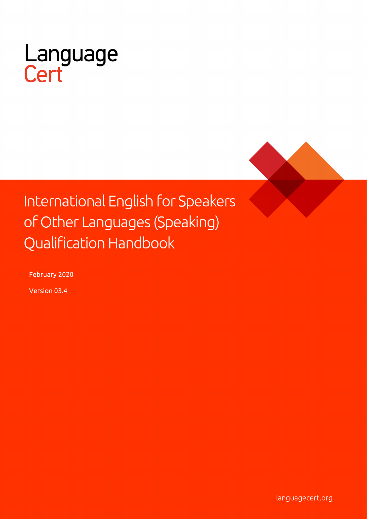

# International English for Speakers of Other Languages (Speaking) **Qualification Handbook**

February 2020

Version 03.4

languagecert.org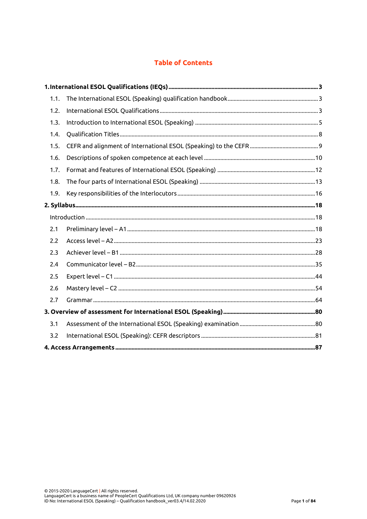# **Table of Contents**

| 1.1. |  |
|------|--|
| 1.2. |  |
| 1.3. |  |
| 1.4. |  |
| 1.5. |  |
| 1.6. |  |
| 1.7. |  |
| 1.8. |  |
| 1.9. |  |
|      |  |
|      |  |
| 2.1  |  |
| 2.2  |  |
| 2.3  |  |
| 2.4  |  |
| 2.5  |  |
| 2.6  |  |
| 2.7  |  |
|      |  |
| 3.1  |  |
| 3.2  |  |
|      |  |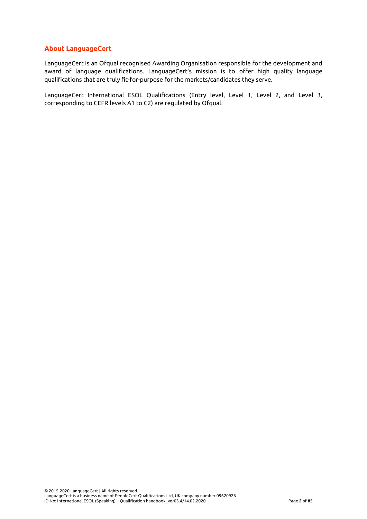## **About LanguageCert**

LanguageCert is an Ofqual recognised Awarding Organisation responsible for the development and award of language qualifications. LanguageCert's mission is to offer high quality language qualifications that are truly fit-for-purpose for the markets/candidates they serve.

<span id="page-2-0"></span>LanguageCert International ESOL Qualifications (Entry level, Level 1, Level 2, and Level 3, corresponding to CEFR levels A1 to C2) are regulated by Ofqual.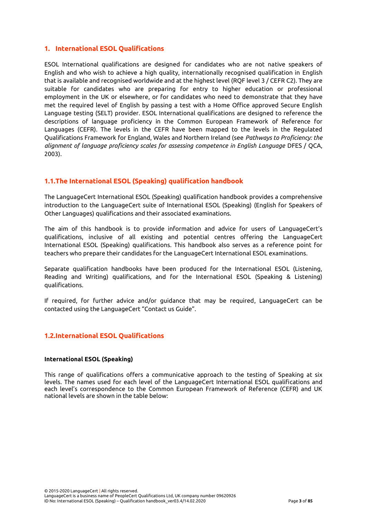## **1. International ESOL Qualifications**

ESOL International qualifications are designed for candidates who are not native speakers of English and who wish to achieve a high quality, internationally recognised qualification in English that is available and recognised worldwide and at the highest level (RQF level 3 / CEFR C2). They are suitable for candidates who are preparing for entry to higher education or professional employment in the UK or elsewhere, or for candidates who need to demonstrate that they have met the required level of English by passing a test with a Home Office approved Secure English Language testing (SELT) provider. ESOL International qualifications are designed to reference the descriptions of language proficiency in the Common European Framework of Reference for Languages (CEFR). The levels in the CEFR have been mapped to the levels in the Regulated Qualifications Framework for England, Wales and Northern Ireland (see *Pathways to Proficiency: the alignment of language proficiency scales for assessing competence in English Language* DFES / QCA, 2003).

## <span id="page-3-0"></span>**1.1.The International ESOL (Speaking) qualification handbook**

The LanguageCert International ESOL (Speaking) qualification handbook provides a comprehensive introduction to the LanguageCert suite of International ESOL (Speaking) (English for Speakers of Other Languages) qualifications and their associated examinations.

The aim of this handbook is to provide information and advice for users of LanguageCert's qualifications, inclusive of all existing and potential centres offering the LanguageCert International ESOL (Speaking) qualifications. This handbook also serves as a reference point for teachers who prepare their candidates for the LanguageCert International ESOL examinations.

Separate qualification handbooks have been produced for the International ESOL (Listening, Reading and Writing) qualifications, and for the International ESOL (Speaking & Listening) qualifications.

If required, for further advice and/or guidance that may be required, LanguageCert can be contacted using the LanguageCert "Contact us Guide".

## <span id="page-3-1"></span>**1.2.International ESOL Qualifications**

## **International ESOL (Speaking)**

This range of qualifications offers a communicative approach to the testing of Speaking at six levels. The names used for each level of the LanguageCert International ESOL qualifications and each level's correspondence to the Common European Framework of Reference (CEFR) and UK national levels are shown in the table below: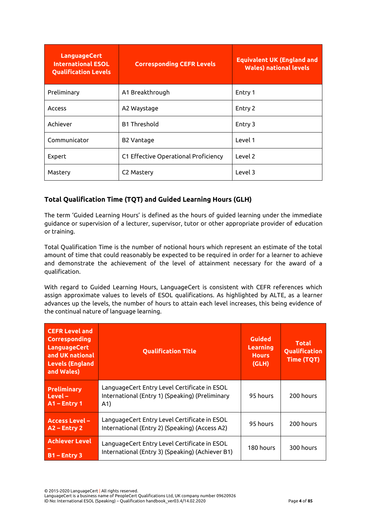| <b>LanguageCert</b><br><b>International ESOL</b><br><b>Qualification Levels</b> | <b>Corresponding CEFR Levels</b>     | <b>Equivalent UK (England and</b><br><b>Wales) national levels</b> |
|---------------------------------------------------------------------------------|--------------------------------------|--------------------------------------------------------------------|
| Preliminary                                                                     | A1 Breakthrough                      | Entry 1                                                            |
| <b>Access</b>                                                                   | A2 Waystage                          | Entry 2                                                            |
| Achiever                                                                        | <b>B1 Threshold</b>                  | Entry 3                                                            |
| Communicator                                                                    | B2 Vantage                           | Level 1                                                            |
| Expert                                                                          | C1 Effective Operational Proficiency | Level 2                                                            |
| Mastery                                                                         | C <sub>2</sub> Mastery               | Level 3                                                            |

# **Total Qualification Time (TQT) and Guided Learning Hours (GLH)**

The term 'Guided Learning Hours' is defined as the hours of guided learning under the immediate guidance or supervision of a lecturer, supervisor, tutor or other appropriate provider of education or training.

Total Qualification Time is the number of notional hours which represent an estimate of the total amount of time that could reasonably be expected to be required in order for a learner to achieve and demonstrate the achievement of the level of attainment necessary for the award of a qualification.

With regard to Guided Learning Hours, LanguageCert is consistent with CEFR references which assign approximate values to levels of ESOL qualifications. As highlighted by ALTE, as a learner advances up the levels, the number of hours to attain each level increases, this being evidence of the continual nature of language learning.

| <b>CEFR Level and</b><br>Corresponding<br><b>LanguageCert</b><br>and UK national<br><b>Levels (England</b><br>and Wales) | <b>Qualification Title</b>                                                                             | <b>Guided</b><br>Learning<br><b>Hours</b><br>(GLH) | <b>Total</b><br>Qualification<br>Time (TQT) |
|--------------------------------------------------------------------------------------------------------------------------|--------------------------------------------------------------------------------------------------------|----------------------------------------------------|---------------------------------------------|
| <b>Preliminary</b><br>$Level -$<br>$A1$ – Entry 1                                                                        | LanguageCert Entry Level Certificate in ESOL<br>International (Entry 1) (Speaking) (Preliminary<br>A1) | 95 hours                                           | 200 hours                                   |
| <b>Access Level -</b><br>A2 - Entry 2                                                                                    | LanguageCert Entry Level Certificate in ESOL<br>International (Entry 2) (Speaking) (Access A2)         | 95 hours                                           | 200 hours                                   |
| <b>Achiever Level</b><br>$B1 -$ Entry 3                                                                                  | LanguageCert Entry Level Certificate in ESOL<br>International (Entry 3) (Speaking) (Achiever B1)       | 180 hours                                          | 300 hours                                   |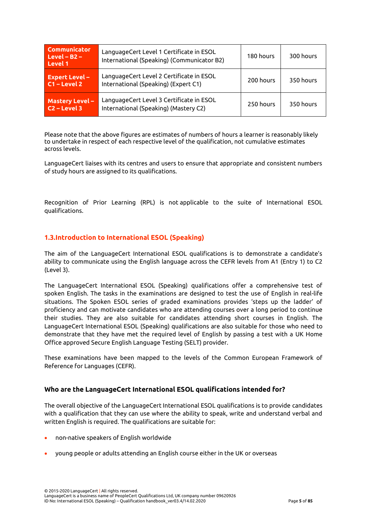| <b>Communicator</b><br>$Level - B2 -$<br>Level 1 | LanguageCert Level 1 Certificate in ESOL<br>International (Speaking) (Communicator B2) | 180 hours | 300 hours |
|--------------------------------------------------|----------------------------------------------------------------------------------------|-----------|-----------|
| <b>Expert Level -</b><br>$C1 - Level 2$          | LanguageCert Level 2 Certificate in ESOL<br>International (Speaking) (Expert C1)       | 200 hours | 350 hours |
| <b>Mastery Level -</b><br>$C2 - Level 3$         | LanguageCert Level 3 Certificate in ESOL<br>International (Speaking) (Mastery C2)      | 250 hours | 350 hours |

Please note that the above figures are estimates of numbers of hours a learner is reasonably likely to undertake in respect of each respective level of the qualification, not cumulative estimates across levels.

LanguageCert liaises with its centres and users to ensure that appropriate and consistent numbers of study hours are assigned to its qualifications.

Recognition of Prior Learning (RPL) is not applicable to the suite of International ESOL qualifications.

## <span id="page-5-0"></span>**1.3.Introduction to International ESOL (Speaking)**

The aim of the LanguageCert International ESOL qualifications is to demonstrate a candidate's ability to communicate using the English language across the CEFR levels from A1 (Entry 1) to C2 (Level 3).

The LanguageCert International ESOL (Speaking) qualifications offer a comprehensive test of spoken English. The tasks in the examinations are designed to test the use of English in real-life situations. The Spoken ESOL series of graded examinations provides 'steps up the ladder' of proficiency and can motivate candidates who are attending courses over a long period to continue their studies. They are also suitable for candidates attending short courses in English. The LanguageCert International ESOL (Speaking) qualifications are also suitable for those who need to demonstrate that they have met the required level of English by passing a test with a UK Home Office approved Secure English Language Testing (SELT) provider.

These examinations have been mapped to the levels of the Common European Framework of Reference for Languages (CEFR).

## **Who are the LanguageCert International ESOL qualifications intended for?**

The overall objective of the LanguageCert International ESOL qualifications is to provide candidates with a qualification that they can use where the ability to speak, write and understand verbal and written English is required. The qualifications are suitable for:

- non-native speakers of English worldwide
- young people or adults attending an English course either in the UK or overseas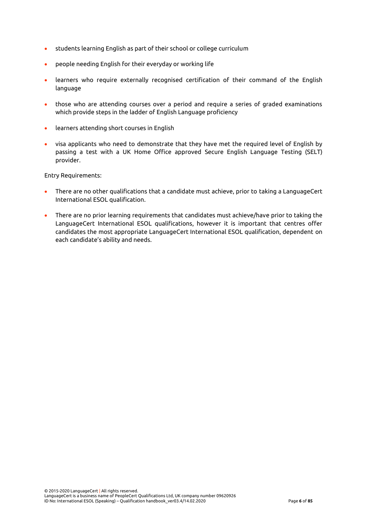- students learning English as part of their school or college curriculum
- people needing English for their everyday or working life
- learners who require externally recognised certification of their command of the English language
- those who are attending courses over a period and require a series of graded examinations which provide steps in the ladder of English Language proficiency
- learners attending short courses in English
- visa applicants who need to demonstrate that they have met the required level of English by passing a test with a UK Home Office approved Secure English Language Testing (SELT) provider.

Entry Requirements:

- There are no other qualifications that a candidate must achieve, prior to taking a LanguageCert International ESOL qualification.
- There are no prior learning requirements that candidates must achieve/have prior to taking the LanguageCert International ESOL qualifications, however it is important that centres offer candidates the most appropriate LanguageCert International ESOL qualification, dependent on each candidate's ability and needs.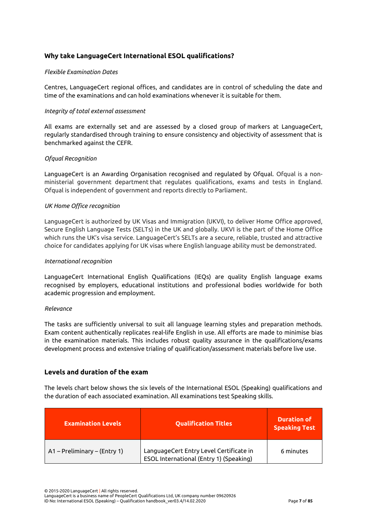## **Why take LanguageCert International ESOL qualifications?**

## *Flexible Examination Dates*

Centres, LanguageCert regional offices, and candidates are in control of scheduling the date and time of the examinations and can hold examinations whenever it is suitable for them.

## *Integrity of total external assessment*

All exams are externally set and are assessed by a closed group of markers at LanguageCert, regularly standardised through training to ensure consistency and objectivity of assessment that is benchmarked against the CEFR.

#### *Ofqual Recognition*

LanguageCert is an Awarding Organisation recognised and regulated by Ofqual. Ofqual is a nonministerial government department that regulates qualifications, exams and tests in England. Ofqual is independent of government and reports directly to Parliament.

#### *UK Home Office recognition*

LanguageCert is authorized by UK Visas and Immigration (UKVI), to deliver Home Office approved, Secure English Language Tests (SELTs) in the UK and globally. UKVI is the part of the Home Office which runs the UK's visa service. LanguageCert's SELTs are a secure, reliable, trusted and attractive choice for candidates applying for UK visas where English language ability must be demonstrated.

#### *International recognition*

LanguageCert International English Qualifications (IEQs) are quality English language exams recognised by employers, educational institutions and professional bodies worldwide for both academic progression and employment.

#### *Relevance*

The tasks are sufficiently universal to suit all language learning styles and preparation methods. Exam content authentically replicates real-life English in use. All efforts are made to minimise bias in the examination materials. This includes robust quality assurance in the qualifications/exams development process and extensive trialing of qualification/assessment materials before live use.

## **Levels and duration of the exam**

The levels chart below shows the six levels of the International ESOL (Speaking) qualifications and the duration of each associated examination. All examinations test Speaking skills.

| <b>Examination Levels</b>    | <b>Qualification Titles</b>                                                        | <b>Duration of</b><br><b>Speaking Test</b> |
|------------------------------|------------------------------------------------------------------------------------|--------------------------------------------|
| A1 – Preliminary – (Entry 1) | LanguageCert Entry Level Certificate in<br>ESOL International (Entry 1) (Speaking) | 6 minutes                                  |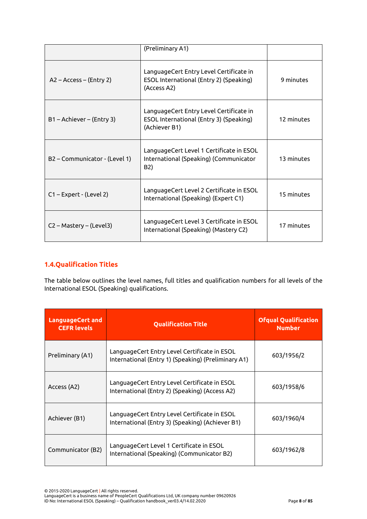|                               | (Preliminary A1)                                                                                    |            |
|-------------------------------|-----------------------------------------------------------------------------------------------------|------------|
| A2 - Access - (Entry 2)       | LanguageCert Entry Level Certificate in<br>ESOL International (Entry 2) (Speaking)<br>(Access A2)   | 9 minutes  |
| B1 - Achiever - (Entry 3)     | LanguageCert Entry Level Certificate in<br>ESOL International (Entry 3) (Speaking)<br>(Achiever B1) | 12 minutes |
| B2 - Communicator - (Level 1) | LanguageCert Level 1 Certificate in ESOL<br>International (Speaking) (Communicator<br>B2)           | 13 minutes |
| C1-Expert - (Level 2)         | LanguageCert Level 2 Certificate in ESOL<br>International (Speaking) (Expert C1)                    | 15 minutes |
| C2 - Mastery - (Level3)       | LanguageCert Level 3 Certificate in ESOL<br>International (Speaking) (Mastery C2)                   | 17 minutes |

# <span id="page-8-0"></span>**1.4.Qualification Titles**

The table below outlines the level names, full titles and qualification numbers for all levels of the International ESOL (Speaking) qualifications.

| <b>LanguageCert and</b><br><b>CEFR</b> levels | <b>Qualification Title</b>                                                                          | <b>Ofqual Qualification</b><br><b>Number</b> |
|-----------------------------------------------|-----------------------------------------------------------------------------------------------------|----------------------------------------------|
| Preliminary (A1)                              | LanguageCert Entry Level Certificate in ESOL<br>International (Entry 1) (Speaking) (Preliminary A1) | 603/1956/2                                   |
| Access (A2)                                   | LanguageCert Entry Level Certificate in ESOL<br>International (Entry 2) (Speaking) (Access A2)      | 603/1958/6                                   |
| Achiever (B1)                                 | LanguageCert Entry Level Certificate in ESOL<br>International (Entry 3) (Speaking) (Achiever B1)    | 603/1960/4                                   |
| Communicator (B2)                             | LanguageCert Level 1 Certificate in ESOL<br>International (Speaking) (Communicator B2)              | 603/1962/8                                   |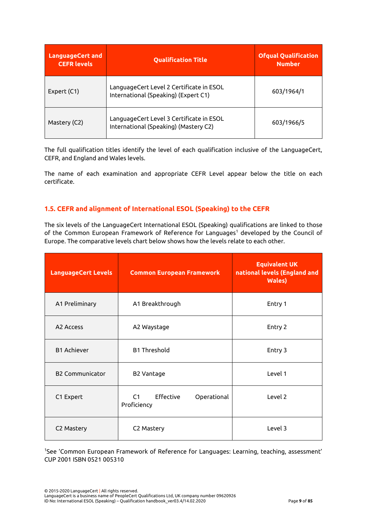| <b>LanguageCert and</b><br><b>CEFR levels</b> | <b>Qualification Title</b>                                                        | <b>Ofqual Qualification</b><br><b>Number</b> |
|-----------------------------------------------|-----------------------------------------------------------------------------------|----------------------------------------------|
| Expert (C1)                                   | LanguageCert Level 2 Certificate in ESOL<br>International (Speaking) (Expert C1)  | 603/1964/1                                   |
| Mastery (C2)                                  | LanguageCert Level 3 Certificate in ESOL<br>International (Speaking) (Mastery C2) | 603/1966/5                                   |

The full qualification titles identify the level of each qualification inclusive of the LanguageCert, CEFR, and England and Wales levels.

The name of each examination and appropriate CEFR Level appear below the title on each certificate.

## <span id="page-9-0"></span>**1.5. CEFR and alignment of International ESOL (Speaking) to the CEFR**

The six levels of the LanguageCert International ESOL (Speaking) qualifications are linked to those of the Common European Framework of Reference for Languages<sup>1</sup> developed by the Council of Europe. The comparative levels chart below shows how the levels relate to each other.

| <b>LanguageCert Levels</b> | <b>Common European Framework</b>              | <b>Equivalent UK</b><br>national levels (England and<br><b>Wales</b> ) |
|----------------------------|-----------------------------------------------|------------------------------------------------------------------------|
| A1 Preliminary             | A1 Breakthrough                               | Entry 1                                                                |
| A <sub>2</sub> Access      | A2 Waystage                                   | Entry 2                                                                |
| <b>B1 Achiever</b>         | <b>B1 Threshold</b>                           | Entry 3                                                                |
| <b>B2 Communicator</b>     | <b>B2 Vantage</b>                             | Level 1                                                                |
| C1 Expert                  | Effective<br>C1<br>Operational<br>Proficiency | Level 2                                                                |
| C2 Mastery                 | C2 Mastery                                    | Level 3                                                                |

<sup>1</sup>See 'Common European Framework of Reference for Languages: Learning, teaching, assessment' CUP 2001 ISBN 0521 005310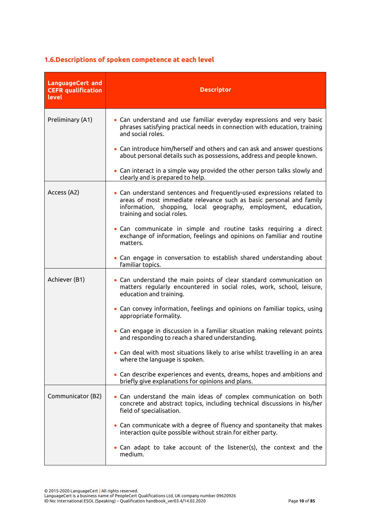# <span id="page-10-0"></span>**1.6.Descriptions of spoken competence at each level**

| <b>LanguageCert and</b><br><b>CEFR</b> qualification<br>level | <b>Descriptor</b>                                                                                                                                                                                                                            |
|---------------------------------------------------------------|----------------------------------------------------------------------------------------------------------------------------------------------------------------------------------------------------------------------------------------------|
| Preliminary (A1)                                              | . Can understand and use familiar everyday expressions and very basic<br>phrases satisfying practical needs in connection with education, training<br>and social roles.                                                                      |
|                                                               | • Can introduce him/herself and others and can ask and answer questions<br>about personal details such as possessions, address and people known.                                                                                             |
|                                                               | • Can interact in a simple way provided the other person talks slowly and<br>clearly and is prepared to help.                                                                                                                                |
| Access (A2)                                                   | . Can understand sentences and frequently-used expressions related to<br>areas of most immediate relevance such as basic personal and family<br>information, shopping, local geography, employment, education,<br>training and social roles. |
|                                                               | . Can communicate in simple and routine tasks requiring a direct<br>exchange of information, feelings and opinions on familiar and routine<br>matters.                                                                                       |
|                                                               | • Can engage in conversation to establish shared understanding about<br>familiar topics.                                                                                                                                                     |
| Achiever (B1)                                                 | • Can understand the main points of clear standard communication on<br>matters regularly encountered in social roles, work, school, leisure,<br>education and training.                                                                      |
|                                                               | • Can convey information, feelings and opinions on familiar topics, using<br>appropriate formality.                                                                                                                                          |
|                                                               | • Can engage in discussion in a familiar situation making relevant points<br>and responding to reach a shared understanding.                                                                                                                 |
|                                                               | • Can deal with most situations likely to arise whilst travelling in an area<br>where the language is spoken.                                                                                                                                |
|                                                               | • Can describe experiences and events, dreams, hopes and ambitions and<br>briefly give explanations for opinions and plans.                                                                                                                  |
| Communicator (B2)                                             | • Can understand the main ideas of complex communication on both<br>concrete and abstract topics, including technical discussions in his/her<br>field of specialisation.                                                                     |
|                                                               | • Can communicate with a degree of fluency and spontaneity that makes<br>interaction quite possible without strain for either party.                                                                                                         |
|                                                               | • Can adapt to take account of the listener(s), the context and the<br>medium.                                                                                                                                                               |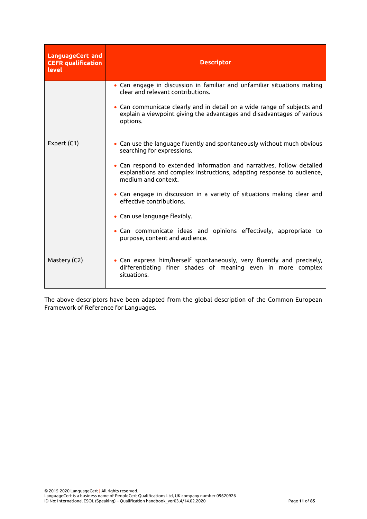| <b>LanguageCert</b> and<br><b>CEFR</b> qualification<br>level | <b>Descriptor</b>                                                                                                                                                                                                                                                                                                                                                                                                                                                                                                         |  |
|---------------------------------------------------------------|---------------------------------------------------------------------------------------------------------------------------------------------------------------------------------------------------------------------------------------------------------------------------------------------------------------------------------------------------------------------------------------------------------------------------------------------------------------------------------------------------------------------------|--|
|                                                               | • Can engage in discussion in familiar and unfamiliar situations making<br>clear and relevant contributions.<br>• Can communicate clearly and in detail on a wide range of subjects and<br>explain a viewpoint giving the advantages and disadvantages of various<br>options.                                                                                                                                                                                                                                             |  |
| Expert (C1)                                                   | • Can use the language fluently and spontaneously without much obvious<br>searching for expressions.<br>. Can respond to extended information and narratives, follow detailed<br>explanations and complex instructions, adapting response to audience,<br>medium and context.<br>• Can engage in discussion in a variety of situations making clear and<br>effective contributions.<br>• Can use language flexibly.<br>• Can communicate ideas and opinions effectively, appropriate to<br>purpose, content and audience. |  |
| Mastery (C2)                                                  | • Can express him/herself spontaneously, very fluently and precisely,<br>differentiating finer shades of meaning even in more complex<br>situations.                                                                                                                                                                                                                                                                                                                                                                      |  |

The above descriptors have been adapted from the global description of the Common European Framework of Reference for Languages.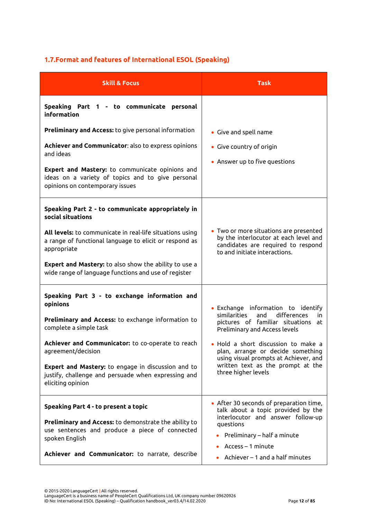# <span id="page-12-0"></span>**1.7.Format and features of International ESOL (Speaking)**

| <b>Skill &amp; Focus</b>                                                                                                                                                                                                                                                                                                                                      | <b>Task</b>                                                                                                                                                                                                                                                                                                                             |
|---------------------------------------------------------------------------------------------------------------------------------------------------------------------------------------------------------------------------------------------------------------------------------------------------------------------------------------------------------------|-----------------------------------------------------------------------------------------------------------------------------------------------------------------------------------------------------------------------------------------------------------------------------------------------------------------------------------------|
| Speaking Part 1 - to communicate personal<br>information                                                                                                                                                                                                                                                                                                      |                                                                                                                                                                                                                                                                                                                                         |
| <b>Preliminary and Access:</b> to give personal information<br>Achiever and Communicator: also to express opinions<br>and ideas<br>Expert and Mastery: to communicate opinions and<br>ideas on a variety of topics and to give personal<br>opinions on contemporary issues                                                                                    | • Give and spell name<br>• Give country of origin<br>• Answer up to five questions                                                                                                                                                                                                                                                      |
| Speaking Part 2 - to communicate appropriately in<br>social situations<br>All levels: to communicate in real-life situations using<br>a range of functional language to elicit or respond as<br>appropriate<br><b>Expert and Mastery:</b> to also show the ability to use a<br>wide range of language functions and use of register                           | • Two or more situations are presented<br>by the interlocutor at each level and<br>candidates are required to respond<br>to and initiate interactions.                                                                                                                                                                                  |
| Speaking Part 3 - to exchange information and<br>opinions<br>Preliminary and Access: to exchange information to<br>complete a simple task<br>Achiever and Communicator: to co-operate to reach<br>agreement/decision<br><b>Expert and Mastery:</b> to engage in discussion and to<br>justify, challenge and persuade when expressing and<br>eliciting opinion | • Exchange information to identify<br>similarities<br>and<br>differences<br>in.<br>pictures of familiar situations at<br>Preliminary and Access levels<br>· Hold a short discussion to make a<br>plan, arrange or decide something<br>using visual prompts at Achiever, and<br>written text as the prompt at the<br>three higher levels |
| Speaking Part 4 - to present a topic<br><b>Preliminary and Access:</b> to demonstrate the ability to<br>use sentences and produce a piece of connected<br>spoken English<br>Achiever and Communicator: to narrate, describe                                                                                                                                   | • After 30 seconds of preparation time,<br>talk about a topic provided by the<br>interlocutor and answer follow-up<br>questions<br>Preliminary - half a minute<br>$Access - 1$ minute<br>Achiever - 1 and a half minutes                                                                                                                |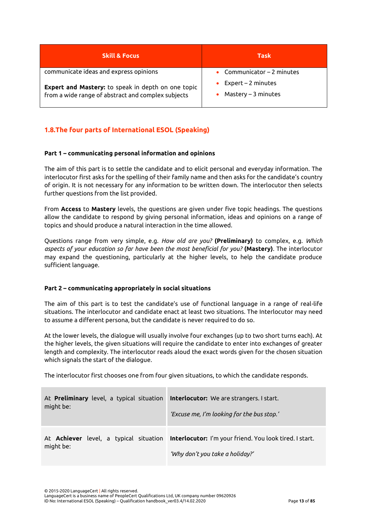| <b>Skill &amp; Focus</b>                                                                                 | Task                                          |
|----------------------------------------------------------------------------------------------------------|-----------------------------------------------|
| communicate ideas and express opinions                                                                   | Communicator $-2$ minutes                     |
| Expert and Mastery: to speak in depth on one topic<br>from a wide range of abstract and complex subjects | $Expert - 2 minutes$<br>$Mastery - 3 minutes$ |

# <span id="page-13-0"></span>**1.8.The four parts of International ESOL (Speaking)**

## **Part 1 – communicating personal information and opinions**

The aim of this part is to settle the candidate and to elicit personal and everyday information. The interlocutor first asks for the spelling of their family name and then asks for the candidate's country of origin. It is not necessary for any information to be written down. The interlocutor then selects further questions from the list provided.

From **Access** to **Mastery** levels, the questions are given under five topic headings. The questions allow the candidate to respond by giving personal information, ideas and opinions on a range of topics and should produce a natural interaction in the time allowed.

Questions range from very simple, e.g. *How old are you?* **(Preliminary)** to complex, e.g. *Which aspects of your education so far have been the most beneficial for you?* **(Mastery)**. The interlocutor may expand the questioning, particularly at the higher levels, to help the candidate produce sufficient language.

## **Part 2 – communicating appropriately in social situations**

The aim of this part is to test the candidate's use of functional language in a range of real-life situations. The interlocutor and candidate enact at least two situations. The Interlocutor may need to assume a different persona, but the candidate is never required to do so.

At the lower levels, the dialogue will usually involve four exchanges (up to two short turns each). At the higher levels, the given situations will require the candidate to enter into exchanges of greater length and complexity. The interlocutor reads aloud the exact words given for the chosen situation which signals the start of the dialogue.

The interlocutor first chooses one from four given situations, to which the candidate responds.

| At <b>Preliminary</b> level, a typical situation | <b>Interlocutor:</b> We are strangers. I start.                                                                                   |
|--------------------------------------------------|-----------------------------------------------------------------------------------------------------------------------------------|
| might be:                                        | 'Excuse me, I'm looking for the bus stop.'                                                                                        |
| might be:                                        | At Achiever level, a typical situation Interlocutor: I'm your friend. You look tired. I start.<br>'Why don't you take a holiday?' |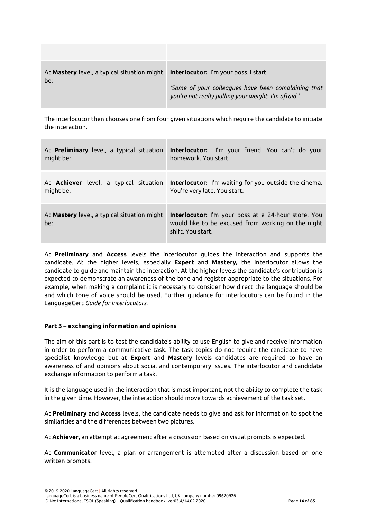| At <b>Mastery</b> level, a typical situation might<br>be: | <b>Interlocutor:</b> I'm your boss. I start.<br>'Some of your colleagues have been complaining that<br>you're not really pulling your weight, I'm afraid.' |
|-----------------------------------------------------------|------------------------------------------------------------------------------------------------------------------------------------------------------------|

The interlocutor then chooses one from four given situations which require the candidate to initiate the interaction.

| At Preliminary level, a typical situation          | Interlocutor: I'm your friend. You can't do your                                                                                      |
|----------------------------------------------------|---------------------------------------------------------------------------------------------------------------------------------------|
| might be:                                          | homework. You start.                                                                                                                  |
| At <b>Achiever</b> level, a typical situation      | <b>Interlocutor:</b> I'm waiting for you outside the cinema.                                                                          |
| might be:                                          | You're very late. You start.                                                                                                          |
| At Mastery level, a typical situation might<br>be: | <b>Interlocutor:</b> I'm your boss at a 24-hour store. You<br>would like to be excused from working on the night<br>shift. You start. |

At **Preliminary** and **Access** levels the interlocutor guides the interaction and supports the candidate. At the higher levels, especially **Expert** and **Mastery,** the interlocutor allows the candidate to guide and maintain the interaction. At the higher levels the candidate's contribution is expected to demonstrate an awareness of the tone and register appropriate to the situations. For example, when making a complaint it is necessary to consider how direct the language should be and which tone of voice should be used. Further guidance for interlocutors can be found in the LanguageCert *Guide for Interlocutors.*

## **Part 3 – exchanging information and opinions**

The aim of this part is to test the candidate's ability to use English to give and receive information in order to perform a communicative task. The task topics do not require the candidate to have specialist knowledge but at **Expert** and **Mastery** levels candidates are required to have an awareness of and opinions about social and contemporary issues. The interlocutor and candidate exchange information to perform a task.

It is the language used in the interaction that is most important, not the ability to complete the task in the given time. However, the interaction should move towards achievement of the task set.

At **Preliminary** and **Access** levels, the candidate needs to give and ask for information to spot the similarities and the differences between two pictures.

At **Achiever,** an attempt at agreement after a discussion based on visual prompts is expected.

At **Communicator** level, a plan or arrangement is attempted after a discussion based on one written prompts.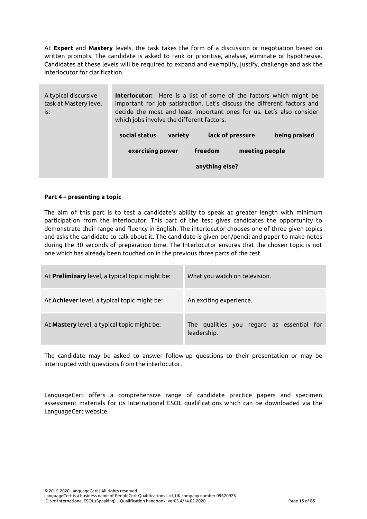At **Expert** and **Mastery** levels, the task takes the form of a discussion or negotiation based on written prompts. The candidate is asked to rank or prioritise, analyse, eliminate or hypothesise. Candidates at these levels will be required to expand and exemplify, justify, challenge and ask the interlocutor for clarification.

| A typical discursive<br>task at Mastery level<br>is: | <b>Interlocutor:</b> Here is a list of some of the factors which might be<br>important for job satisfaction. Let's discuss the different factors and<br>decide the most and least important ones for us. Let's also consider<br>which jobs involve the different factors. |         |                  |  |               |
|------------------------------------------------------|---------------------------------------------------------------------------------------------------------------------------------------------------------------------------------------------------------------------------------------------------------------------------|---------|------------------|--|---------------|
|                                                      | social status                                                                                                                                                                                                                                                             | variety | lack of pressure |  | being praised |
|                                                      | exercising power                                                                                                                                                                                                                                                          | freedom | meeting people   |  |               |
|                                                      |                                                                                                                                                                                                                                                                           |         | anything else?   |  |               |

## **Part 4 – presenting a topic**

The aim of this part is to test a candidate's ability to speak at greater length with minimum participation from the interlocutor. This part of the test gives candidates the opportunity to demonstrate their range and fluency in English. The interlocutor chooses one of three given topics and asks the candidate to talk about it. The candidate is given pen/pencil and paper to make notes during the 30 seconds of preparation time. The Interlocutor ensures that the chosen topic is not one which has already been touched on in the previous three parts of the test.

| At Preliminary level, a typical topic might be: | What you watch on television.                            |
|-------------------------------------------------|----------------------------------------------------------|
| At Achiever level, a typical topic might be:    | An exciting experience.                                  |
| At Mastery level, a typical topic might be:     | The qualities you regard as essential for<br>leadership. |

The candidate may be asked to answer follow-up questions to their presentation or may be interrupted with questions from the interlocutor.

LanguageCert offers a comprehensive range of candidate practice papers and specimen assessment materials for its International ESOL qualifications which can be downloaded via the LanguageCert website.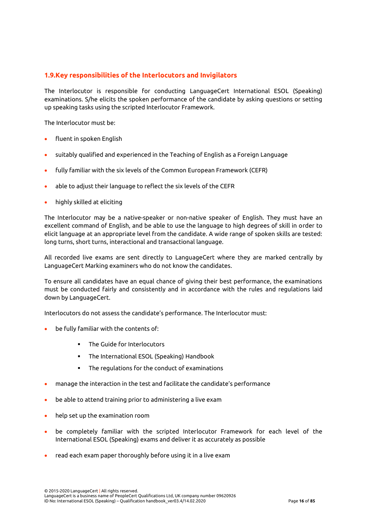## <span id="page-16-0"></span>**1.9.Key responsibilities of the Interlocutors and Invigilators**

The Interlocutor is responsible for conducting LanguageCert International ESOL (Speaking) examinations. S/he elicits the spoken performance of the candidate by asking questions or setting up speaking tasks using the scripted Interlocutor Framework.

The Interlocutor must be:

- fluent in spoken English
- suitably qualified and experienced in the Teaching of English as a Foreign Language
- fully familiar with the six levels of the Common European Framework (CEFR)
- able to adjust their language to reflect the six levels of the CEFR
- highly skilled at eliciting

The Interlocutor may be a native-speaker or non-native speaker of English. They must have an excellent command of English, and be able to use the language to high degrees of skill in order to elicit language at an appropriate level from the candidate. A wide range of spoken skills are tested: long turns, short turns, interactional and transactional language.

All recorded live exams are sent directly to LanguageCert where they are marked centrally by LanguageCert Marking examiners who do not know the candidates.

To ensure all candidates have an equal chance of giving their best performance, the examinations must be conducted fairly and consistently and in accordance with the rules and regulations laid down by LanguageCert.

Interlocutors do not assess the candidate's performance. The Interlocutor must:

- be fully familiar with the contents of:
	- The Guide for Interlocutors
	- The International ESOL (Speaking) Handbook
	- The regulations for the conduct of examinations
- manage the interaction in the test and facilitate the candidate's performance
- be able to attend training prior to administering a live exam
- help set up the examination room
- be completely familiar with the scripted Interlocutor Framework for each level of the International ESOL (Speaking) exams and deliver it as accurately as possible
- read each exam paper thoroughly before using it in a live exam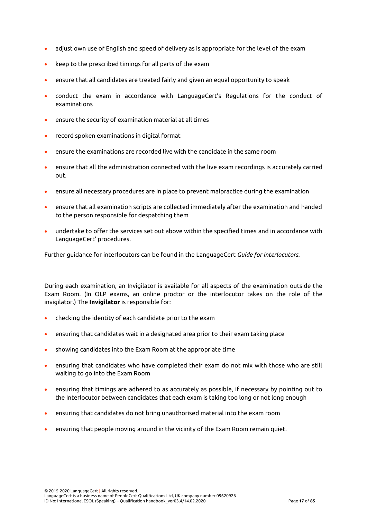- adjust own use of English and speed of delivery as is appropriate for the level of the exam
- keep to the prescribed timings for all parts of the exam
- ensure that all candidates are treated fairly and given an equal opportunity to speak
- conduct the exam in accordance with LanguageCert's Regulations for the conduct of examinations
- ensure the security of examination material at all times
- record spoken examinations in digital format
- ensure the examinations are recorded live with the candidate in the same room
- ensure that all the administration connected with the live exam recordings is accurately carried out.
- ensure all necessary procedures are in place to prevent malpractice during the examination
- ensure that all examination scripts are collected immediately after the examination and handed to the person responsible for despatching them
- undertake to offer the services set out above within the specified times and in accordance with LanguageCert' procedures.

Further guidance for interlocutors can be found in the LanguageCert *Guide for Interlocutors.*

During each examination, an Invigilator is available for all aspects of the examination outside the Exam Room. (In OLP exams, an online proctor or the interlocutor takes on the role of the invigilator.) The **Invigilator** is responsible for:

- checking the identity of each candidate prior to the exam
- ensuring that candidates wait in a designated area prior to their exam taking place
- showing candidates into the Exam Room at the appropriate time
- ensuring that candidates who have completed their exam do not mix with those who are still waiting to go into the Exam Room
- ensuring that timings are adhered to as accurately as possible, if necessary by pointing out to the Interlocutor between candidates that each exam is taking too long or not long enough
- ensuring that candidates do not bring unauthorised material into the exam room
- ensuring that people moving around in the vicinity of the Exam Room remain quiet.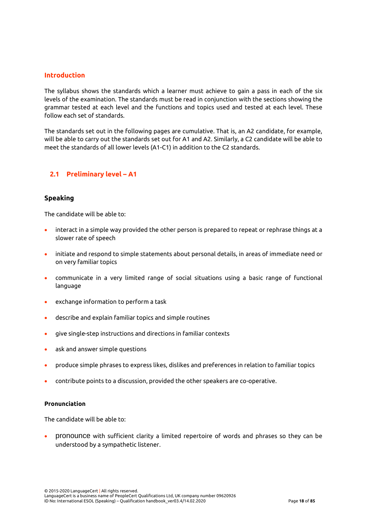## <span id="page-18-1"></span><span id="page-18-0"></span>**Introduction**

The syllabus shows the standards which a learner must achieve to gain a pass in each of the six levels of the examination. The standards must be read in conjunction with the sections showing the grammar tested at each level and the functions and topics used and tested at each level. These follow each set of standards.

The standards set out in the following pages are cumulative. That is, an A2 candidate, for example, will be able to carry out the standards set out for A1 and A2. Similarly, a C2 candidate will be able to meet the standards of all lower levels (A1-C1) in addition to the C2 standards.

## <span id="page-18-2"></span>**2.1 Preliminary level – A1**

## **Speaking**

The candidate will be able to:

- interact in a simple way provided the other person is prepared to repeat or rephrase things at a slower rate of speech
- initiate and respond to simple statements about personal details, in areas of immediate need or on very familiar topics
- communicate in a very limited range of social situations using a basic range of functional language
- exchange information to perform a task
- describe and explain familiar topics and simple routines
- give single-step instructions and directions in familiar contexts
- ask and answer simple questions
- produce simple phrases to express likes, dislikes and preferences in relation to familiar topics
- contribute points to a discussion, provided the other speakers are co-operative.

#### **Pronunciation**

The candidate will be able to:

• pronounce with sufficient clarity a limited repertoire of words and phrases so they can be understood by a sympathetic listener.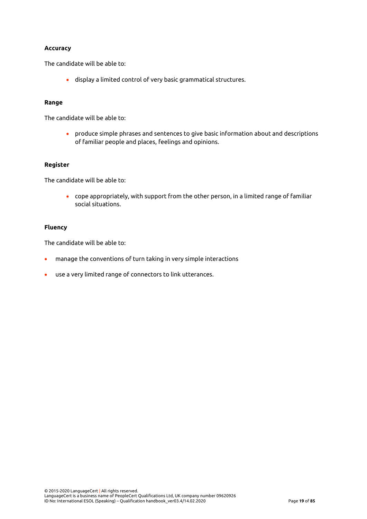## **Accuracy**

The candidate will be able to:

• display a limited control of very basic grammatical structures.

#### **Range**

The candidate will be able to:

• produce simple phrases and sentences to give basic information about and descriptions of familiar people and places, feelings and opinions.

## **Register**

The candidate will be able to:

• cope appropriately, with support from the other person, in a limited range of familiar social situations.

#### **Fluency**

The candidate will be able to:

- manage the conventions of turn taking in very simple interactions
- use a very limited range of connectors to link utterances.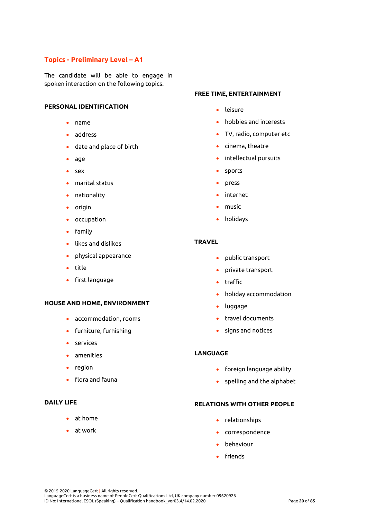## **Topics - Preliminary Level – A1**

The candidate will be able to engage in spoken interaction on the following topics.

## **PERSONAL IDENTIFICATION**

- name
- address
- date and place of birth
- age
- sex
- marital status
- nationality
- origin
- occupation
- family
- likes and dislikes
- physical appearance
- title
- first language

#### **HOUSE AND HOME, ENVI**R**ONMENT**

- accommodation, rooms
- furniture, furnishing
- services
- amenities
- region
- flora and fauna

## **DAILY LIFE**

- at home
- at work

#### **FREE TIME, ENTERTAINMENT**

- leisure
- hobbies and interests
- TV, radio, computer etc
- cinema, theatre
- intellectual pursuits
- sports
- press
- internet
- music
- holidays

#### **TRAVEL**

- public transport
- private transport
- traffic
- holiday accommodation
- luggage
- travel documents
- signs and notices

## **LANGUAGE**

- foreign language ability
- spelling and the alphabet

#### **RELATIONS WITH OTHER PEOPLE**

- relationships
- correspondence
- behaviour
- friends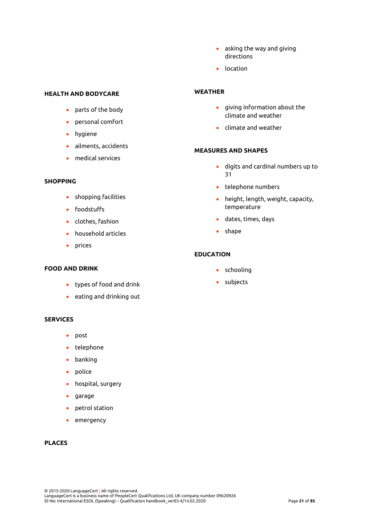- asking the way and giving directions
- location

#### **HEALTH AND BODYCARE**

- parts of the body
- personal comfort
- hygiene
- ailments, accidents
- medical services

## **SHOPPING**

- shopping facilities
- foodstuffs
- clothes, fashion
- household articles
- prices

## **FOOD AND DRINK**

- types of food and drink
- eating and drinking out

#### **SERVICES**

- post
- telephone
- banking
- police
- hospital, surgery
- garage
- petrol station
- emergency

## **PLACES**

#### **WEATHER**

- giving information about the climate and weather
- climate and weather

#### **MEASURES AND SHAPES**

- digits and cardinal numbers up to 31
- telephone numbers
- height, length, weight, capacity, temperature
- dates, times, days
- shape

## **EDUCATION**

- schooling
- subjects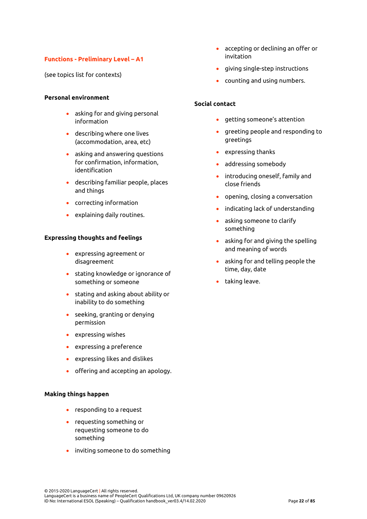## **Functions - Preliminary Level – A1**

(see topics list for contexts)

## **Personal environment**

- asking for and giving personal information
- describing where one lives (accommodation, area, etc)
- asking and answering questions for confirmation, information, identification
- describing familiar people, places and things
- correcting information
- explaining daily routines.

#### **Expressing thoughts and feelings**

- expressing agreement or disagreement
- stating knowledge or ignorance of something or someone
- stating and asking about ability or inability to do something
- seeking, granting or denying permission
- expressing wishes
- expressing a preference
- expressing likes and dislikes
- offering and accepting an apology.

#### **Making things happen**

- responding to a request
- requesting something or requesting someone to do something
- inviting someone to do something
- accepting or declining an offer or invitation
- giving single-step instructions
- counting and using numbers.

## **Social contact**

- getting someone's attention
- greeting people and responding to greetings
- expressing thanks
- addressing somebody
- introducing oneself, family and close friends
- opening, closing a conversation
- indicating lack of understanding
- asking someone to clarify something
- asking for and giving the spelling and meaning of words
- asking for and telling people the time, day, date
- taking leave.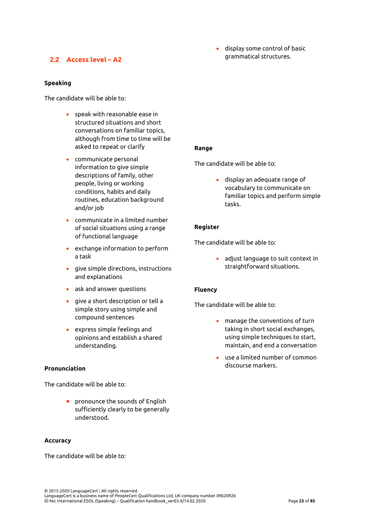# <span id="page-23-0"></span>**2.2 Access level – A2**

**Speaking**

The candidate will be able to:

- speak with reasonable ease in structured situations and short conversations on familiar topics, although from time to time will be asked to repeat or clarify
- communicate personal information to give simple descriptions of family, other people, living or working conditions, habits and daily routines, education background and/or job
- communicate in a limited number of social situations using a range of functional language
- exchange information to perform a task
- give simple directions, instructions and explanations
- ask and answer questions
- give a short description or tell a simple story using simple and compound sentences
- express simple feelings and opinions and establish a shared understanding.

## **Pronunciation**

The candidate will be able to:

• pronounce the sounds of English sufficiently clearly to be generally understood.

## **Accuracy**

The candidate will be able to:

• display some control of basic grammatical structures.

## **Range**

The candidate will be able to:

• display an adequate range of vocabulary to communicate on familiar topics and perform simple tasks.

## **Register**

The candidate will be able to:

• adjust language to suit context in straightforward situations.

## **Fluency**

The candidate will be able to:

- manage the conventions of turn taking in short social exchanges, using simple techniques to start, maintain, and end a conversation
- use a limited number of common discourse markers.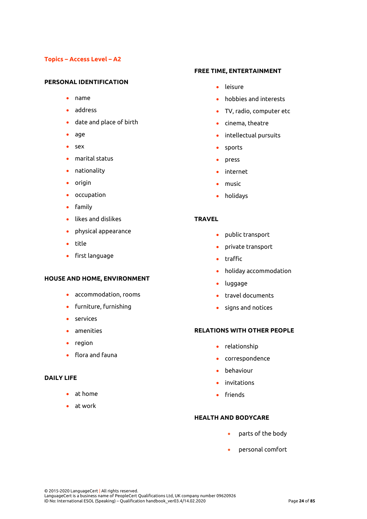## **Topics – Access Level – A2**

#### **PERSONAL IDENTIFICATION**

- name
- address
- date and place of birth
- age
- sex
- marital status
- nationality
- origin
- occupation
- family
- likes and dislikes
- physical appearance
- title
- first language

#### **HOUSE AND HOME, ENVIRONMENT**

- accommodation, rooms
- furniture, furnishing
- services
- amenities
- region
- flora and fauna

## **DAILY LIFE**

- at home
- at work

#### **FREE TIME, ENTERTAINMENT**

- leisure
- hobbies and interests
- TV, radio, computer etc
- cinema, theatre
- intellectual pursuits
- sports
- press
- internet
- music
- holidays

## **TRAVEL**

- public transport
- private transport
- traffic
- holiday accommodation
- luggage
- travel documents
- signs and notices

## **RELATIONS WITH OTHER PEOPLE**

- relationship
- correspondence
- behaviour
- invitations
- friends

#### **HEALTH AND BODYCARE**

- parts of the body
- personal comfort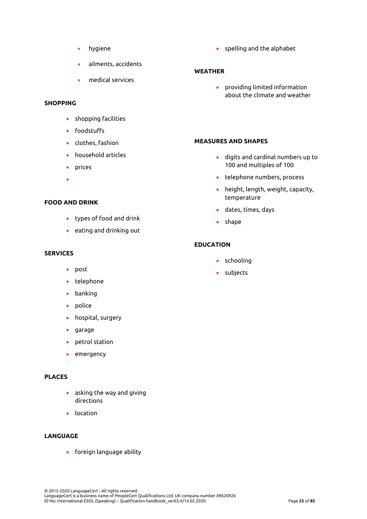- hygiene
- ailments, accidents
- medical services

## **SHOPPING**

- shopping facilities
- foodstuffs
- clothes, fashion
- household articles
- prices
- •

## **FOOD AND DRINK**

- types of food and drink
- eating and drinking out

## **SERVICES**

- post
- telephone
- banking
- police
- hospital, surgery
- garage
- petrol station
- emergency

## **PLACES**

- asking the way and giving directions
- location

## **LANGUAGE**

• foreign language ability

• spelling and the alphabet

## **WEATHER**

• providing limited information about the climate and weather

## **MEASURES AND SHAPES**

- digits and cardinal numbers up to 100 and multiples of 100
- telephone numbers, process
- height, length, weight, capacity, temperature
- dates, times, days
- shape

## **EDUCATION**

- schooling
- subjects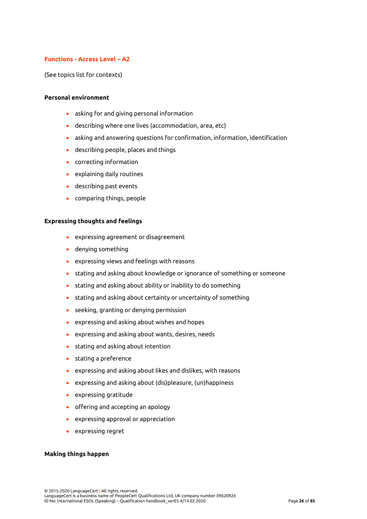## **Functions - Access Level – A2**

(See topics list for contexts)

#### **Personal environment**

- asking for and giving personal information
- describing where one lives (accommodation, area, etc)
- asking and answering questions for confirmation, information, identification
- describing people, places and things
- correcting information
- explaining daily routines
- describing past events
- comparing things, people

#### **Expressing thoughts and feelings**

- expressing agreement or disagreement
- denying something
- expressing views and feelings with reasons
- stating and asking about knowledge or ignorance of something or someone
- stating and asking about ability or inability to do something
- stating and asking about certainty or uncertainty of something
- seeking, granting or denying permission
- expressing and asking about wishes and hopes
- expressing and asking about wants, desires, needs
- stating and asking about intention
- stating a preference
- expressing and asking about likes and dislikes, with reasons
- expressing and asking about (dis)pleasure, (un)happiness
- expressing gratitude
- offering and accepting an apology
- expressing approval or appreciation
- expressing regret

#### **Making things happen**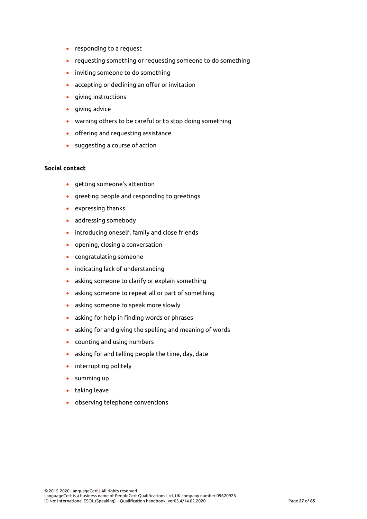- responding to a request
- requesting something or requesting someone to do something
- inviting someone to do something
- accepting or declining an offer or invitation
- giving instructions
- giving advice
- warning others to be careful or to stop doing something
- offering and requesting assistance
- suggesting a course of action

#### **Social contact**

- getting someone's attention
- greeting people and responding to greetings
- expressing thanks
- addressing somebody
- introducing oneself, family and close friends
- opening, closing a conversation
- congratulating someone
- indicating lack of understanding
- asking someone to clarify or explain something
- asking someone to repeat all or part of something
- asking someone to speak more slowly
- asking for help in finding words or phrases
- asking for and giving the spelling and meaning of words
- counting and using numbers
- asking for and telling people the time, day, date
- interrupting politely
- summing up
- taking leave
- observing telephone conventions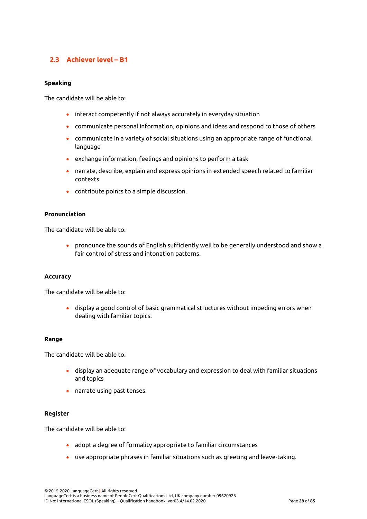# <span id="page-28-0"></span>**2.3 Achiever level – B1**

## **Speaking**

The candidate will be able to:

- interact competently if not always accurately in everyday situation
- communicate personal information, opinions and ideas and respond to those of others
- communicate in a variety of social situations using an appropriate range of functional language
- exchange information, feelings and opinions to perform a task
- narrate, describe, explain and express opinions in extended speech related to familiar contexts
- contribute points to a simple discussion.

## **Pronunciation**

The candidate will be able to:

• pronounce the sounds of English sufficiently well to be generally understood and show a fair control of stress and intonation patterns.

## **Accuracy**

The candidate will be able to:

• display a good control of basic grammatical structures without impeding errors when dealing with familiar topics.

#### **Range**

The candidate will be able to:

- display an adequate range of vocabulary and expression to deal with familiar situations and topics
- narrate using past tenses.

#### **Register**

The candidate will be able to:

- adopt a degree of formality appropriate to familiar circumstances
- use appropriate phrases in familiar situations such as greeting and leave-taking.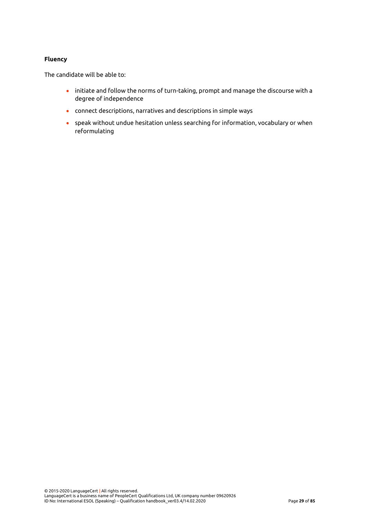## **Fluency**

The candidate will be able to:

- initiate and follow the norms of turn-taking, prompt and manage the discourse with a degree of independence
- connect descriptions, narratives and descriptions in simple ways
- speak without undue hesitation unless searching for information, vocabulary or when reformulating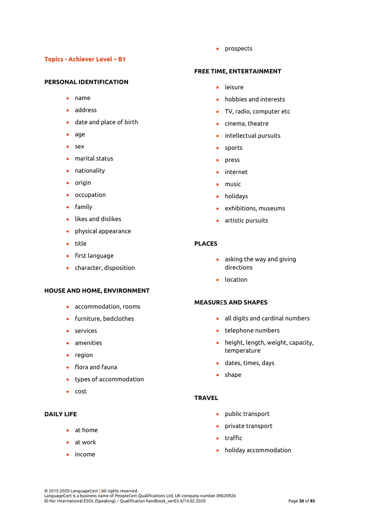## **Topics - Achiever Level – B1**

#### **PERSONAL IDENTIFICATION**

- name
- address
- date and place of birth
- age
- sex
- marital status
- nationality
- origin
- occupation
- family
- likes and dislikes
- physical appearance
- title
- first language
- character, disposition

#### **HOUSE AND HOME, ENVIRONMENT**

- accommodation, rooms
- furniture, bedclothes
- services
- amenities
- region
- flora and fauna
- types of accommodation
- cost

## **DAILY LIFE**

- at home
- at work
- income

• prospects

## **FREE TIME, ENTERTAINMENT**

- leisure
- hobbies and interests
- TV, radio, computer etc
- cinema, theatre
- intellectual pursuits
- sports
- press
- internet
- music
- holidays
- exhibitions, museums
- artistic pursuits

#### **PLACES**

- asking the way and giving directions
- location

## **MEASUR**E**S AND SHAPES**

- all digits and cardinal numbers
- telephone numbers
- height, length, weight, capacity, temperature
- dates, times, days
- shape

## **TRAVEL**

- public transport
- private transport
- traffic
- holiday accommodation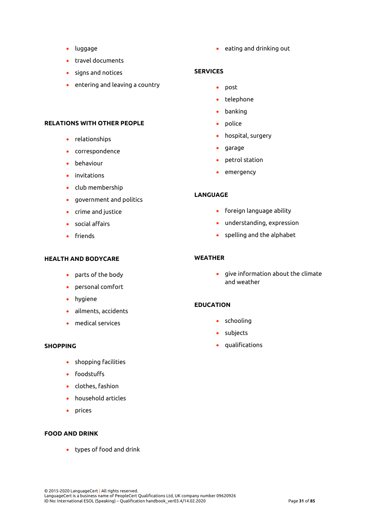- luggage
- travel documents
- signs and notices
- entering and leaving a country

## **RELATIONS WITH OTHER PEOPLE**

- relationships
- correspondence
- behaviour
- invitations
- club membership
- government and politics
- crime and justice
- social affairs
- friends

## **HEALTH AND BODYCARE**

- parts of the body
- personal comfort
- hygiene
- ailments, accidents
- medical services

#### **SHOPPING**

- shopping facilities
- foodstuffs
- clothes, fashion
- household articles
- prices

## **FOOD AND DRINK**

• types of food and drink

• eating and drinking out

#### **SERVICES**

- post
- telephone
- banking
- police
- hospital, surgery
- garage
- petrol station
- emergency

## **LANGUAGE**

- foreign language ability
- understanding, expression
- spelling and the alphabet

#### **WEATHER**

• give information about the climate and weather

## **EDUCATION**

- schooling
- subjects
- qualifications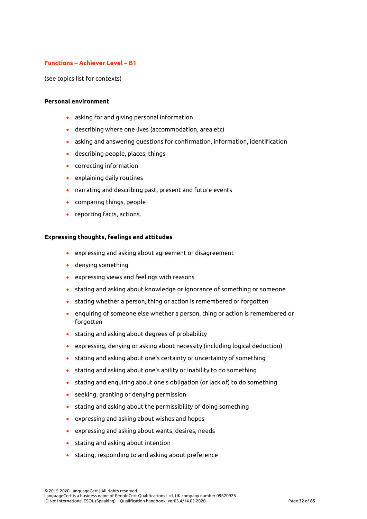## **Functions – Achiever Level – B1**

(see topics list for contexts)

#### **Personal environment**

- asking for and giving personal information
- describing where one lives (accommodation, area etc)
- asking and answering questions for confirmation, information, identification
- describing people, places, things
- correcting information
- explaining daily routines
- narrating and describing past, present and future events
- comparing things, people
- reporting facts, actions.

#### **Expressing thoughts, feelings and attitudes**

- expressing and asking about agreement or disagreement
- denying something
- expressing views and feelings with reasons
- stating and asking about knowledge or ignorance of something or someone
- stating whether a person, thing or action is remembered or forgotten
- enquiring of someone else whether a person, thing or action is remembered or forgotten
- stating and asking about degrees of probability
- expressing, denying or asking about necessity (including logical deduction)
- stating and asking about one's certainty or uncertainty of something
- stating and asking about one's ability or inability to do something
- stating and enquiring about one's obligation (or lack of) to do something
- seeking, granting or denying permission
- stating and asking about the permissibility of doing something
- expressing and asking about wishes and hopes
- expressing and asking about wants, desires, needs
- stating and asking about intention
- stating, responding to and asking about preference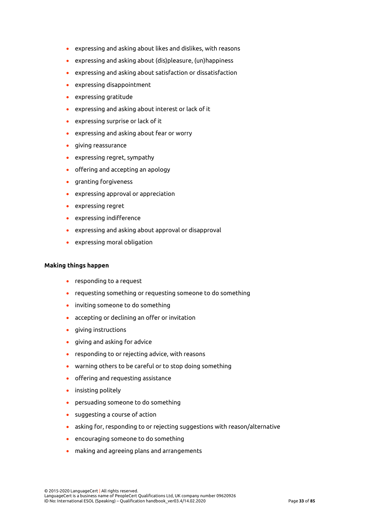- expressing and asking about likes and dislikes, with reasons
- expressing and asking about (dis)pleasure, (un)happiness
- expressing and asking about satisfaction or dissatisfaction
- expressing disappointment
- expressing gratitude
- expressing and asking about interest or lack of it
- expressing surprise or lack of it
- expressing and asking about fear or worry
- giving reassurance
- expressing regret, sympathy
- offering and accepting an apology
- granting forgiveness
- expressing approval or appreciation
- expressing regret
- expressing indifference
- expressing and asking about approval or disapproval
- expressing moral obligation

#### **Making things happen**

- responding to a request
- requesting something or requesting someone to do something
- inviting someone to do something
- accepting or declining an offer or invitation
- giving instructions
- giving and asking for advice
- responding to or rejecting advice, with reasons
- warning others to be careful or to stop doing something
- offering and requesting assistance
- insisting politely
- persuading someone to do something
- suggesting a course of action
- asking for, responding to or rejecting suggestions with reason/alternative
- encouraging someone to do something
- making and agreeing plans and arrangements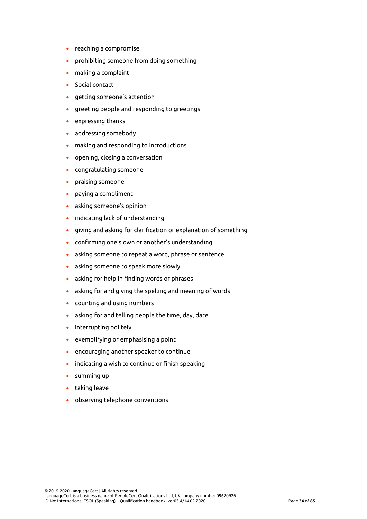- reaching a compromise
- prohibiting someone from doing something
- making a complaint
- Social contact
- getting someone's attention
- greeting people and responding to greetings
- expressing thanks
- addressing somebody
- making and responding to introductions
- opening, closing a conversation
- congratulating someone
- praising someone
- paying a compliment
- asking someone's opinion
- indicating lack of understanding
- giving and asking for clarification or explanation of something
- confirming one's own or another's understanding
- asking someone to repeat a word, phrase or sentence
- asking someone to speak more slowly
- asking for help in finding words or phrases
- asking for and giving the spelling and meaning of words
- counting and using numbers
- asking for and telling people the time, day, date
- interrupting politely
- exemplifying or emphasising a point
- encouraging another speaker to continue
- indicating a wish to continue or finish speaking
- summing up
- taking leave
- observing telephone conventions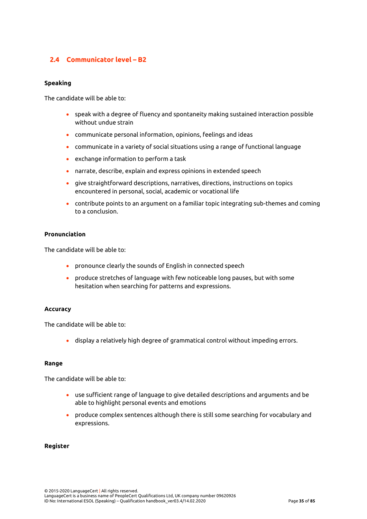# <span id="page-35-0"></span>**2.4 Communicator level – B2**

## **Speaking**

The candidate will be able to:

- speak with a degree of fluency and spontaneity making sustained interaction possible without undue strain
- communicate personal information, opinions, feelings and ideas
- communicate in a variety of social situations using a range of functional language
- exchange information to perform a task
- narrate, describe, explain and express opinions in extended speech
- give straightforward descriptions, narratives, directions, instructions on topics encountered in personal, social, academic or vocational life
- contribute points to an argument on a familiar topic integrating sub-themes and coming to a conclusion.

#### **Pronunciation**

The candidate will be able to:

- pronounce clearly the sounds of English in connected speech
- produce stretches of language with few noticeable long pauses, but with some hesitation when searching for patterns and expressions.

## **Accuracy**

The candidate will be able to:

• display a relatively high degree of grammatical control without impeding errors.

#### **Range**

The candidate will be able to:

- use sufficient range of language to give detailed descriptions and arguments and be able to highlight personal events and emotions
- produce complex sentences although there is still some searching for vocabulary and expressions.

#### **Register**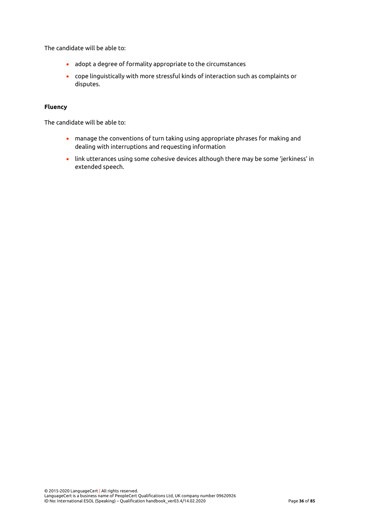The candidate will be able to:

- adopt a degree of formality appropriate to the circumstances
- cope linguistically with more stressful kinds of interaction such as complaints or disputes.

### **Fluency**

The candidate will be able to:

- manage the conventions of turn taking using appropriate phrases for making and dealing with interruptions and requesting information
- link utterances using some cohesive devices although there may be some 'jerkiness' in extended speech.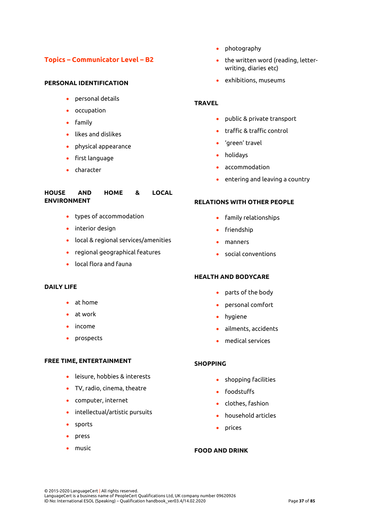# **Topics – Communicator Level – B2**

# **PERSONAL IDENTIFICATION**

- personal details
- occupation
- family
- likes and dislikes
- physical appearance
- first language
- character

# **HOUSE AND HOME & LOCAL ENVIRONMENT**

- types of accommodation
- interior design
- local & regional services/amenities
- regional geographical features
- local flora and fauna

# **DAILY LIFE**

- at home
- at work
- income
- prospects

## **FREE TIME, ENTERTAINMENT**

- leisure, hobbies & interests
- TV, radio, cinema, theatre
- computer, internet
- intellectual/artistic pursuits
- sports
- press
- music
- photography
- the written word (reading, letterwriting, diaries etc)
- exhibitions, museums

# **TRAVEL**

- public & private transport
- traffic & traffic control
- 'green' travel
- holidays
- accommodation
- entering and leaving a country

## **RELATIONS WITH OTHER PEOPLE**

- family relationships
- friendship
- manners
- social conventions

## **HEALTH AND BODYCARE**

- parts of the body
- personal comfort
- hygiene
- ailments, accidents
- medical services

# **SHOPPING**

- shopping facilities
- foodstuffs
- clothes, fashion
- household articles
- prices

# **FOOD AND DRINK**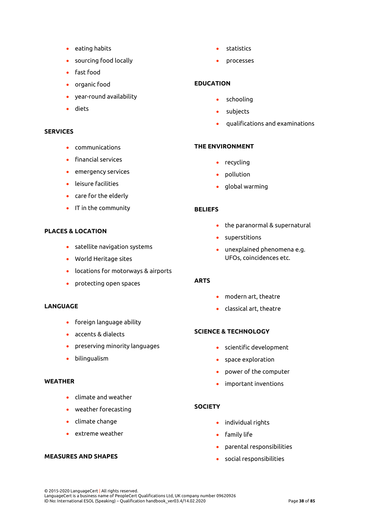- eating habits
- sourcing food locally
- fast food
- organic food
- year-round availability
- diets

# **SERVICES**

- communications
- financial services
- emergency services
- leisure facilities
- care for the elderly
- IT in the community

# **PLACES & LOCATION**

- satellite navigation systems
- World Heritage sites
- locations for motorways & airports
- protecting open spaces

#### **LANGUAGE**

- foreign language ability
- accents & dialects
- preserving minority languages
- bilingualism

### **WEATHER**

- climate and weather
- weather forecasting
- climate change
- extreme weather

# **MEASURES AND SHAPES**

- statistics
- processes

# **EDUCATION**

- schooling
- subjects
- qualifications and examinations

# **THE ENVIRONMENT**

- recycling
- pollution
- global warming

### **BELIEFS**

- the paranormal & supernatural
- superstitions
- unexplained phenomena e.g. UFOs, coincidences etc.

# **ARTS**

- modern art, theatre
- classical art, theatre

# **SCIENCE & TECHNOLOGY**

- scientific development
- space exploration
- power of the computer
- important inventions

#### **SOCIETY**

- individual rights
- family life
- parental responsibilities
- social responsibilities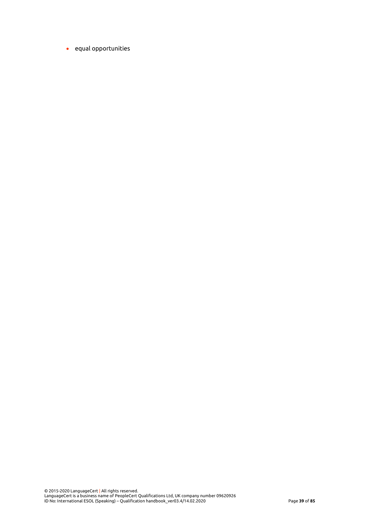• equal opportunities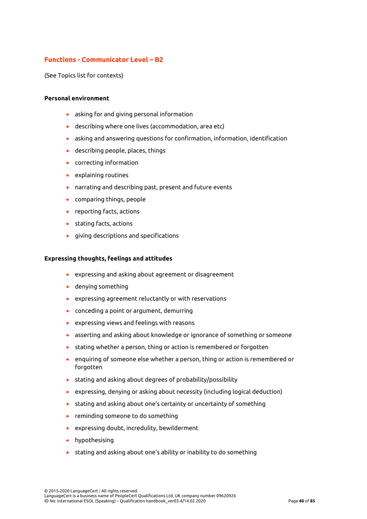# **Functions - Communicator Level – B2**

(See Topics list for contexts)

### **Personal environment**

- asking for and giving personal information
- describing where one lives (accommodation, area etc)
- asking and answering questions for confirmation, information, identification
- describing people, places, things
- correcting information
- explaining routines
- narrating and describing past, present and future events
- comparing things, people
- reporting facts, actions
- stating facts, actions
- giving descriptions and specifications

#### **Expressing thoughts, feelings and attitudes**

- expressing and asking about agreement or disagreement
- denying something
- expressing agreement reluctantly or with reservations
- conceding a point or argument, demurring
- expressing views and feelings with reasons
- asserting and asking about knowledge or ignorance of something or someone
- stating whether a person, thing or action is remembered or forgotten
- enquiring of someone else whether a person, thing or action is remembered or forgotten
- stating and asking about degrees of probability/possibility
- expressing, denying or asking about necessity (including logical deduction)
- stating and asking about one's certainty or uncertainty of something
- reminding someone to do something
- expressing doubt, incredulity, bewilderment
- hypothesising
- stating and asking about one's ability or inability to do something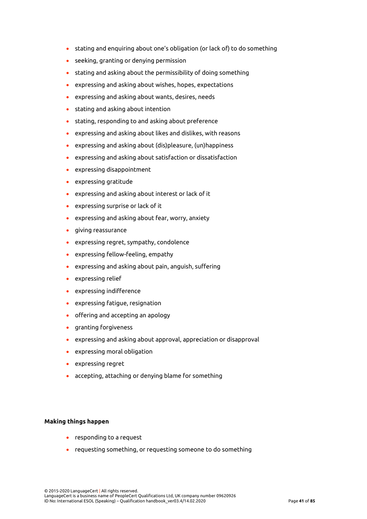- stating and enquiring about one's obligation (or lack of) to do something
- seeking, granting or denying permission
- stating and asking about the permissibility of doing something
- expressing and asking about wishes, hopes, expectations
- expressing and asking about wants, desires, needs
- stating and asking about intention
- stating, responding to and asking about preference
- expressing and asking about likes and dislikes, with reasons
- expressing and asking about (dis)pleasure, (un)happiness
- expressing and asking about satisfaction or dissatisfaction
- expressing disappointment
- expressing gratitude
- expressing and asking about interest or lack of it
- expressing surprise or lack of it
- expressing and asking about fear, worry, anxiety
- giving reassurance
- expressing regret, sympathy, condolence
- expressing fellow-feeling, empathy
- expressing and asking about pain, anguish, suffering
- expressing relief
- expressing indifference
- expressing fatigue, resignation
- offering and accepting an apology
- granting forgiveness
- expressing and asking about approval, appreciation or disapproval
- expressing moral obligation
- expressing regret
- accepting, attaching or denying blame for something

# **Making things happen**

- responding to a request
- requesting something, or requesting someone to do something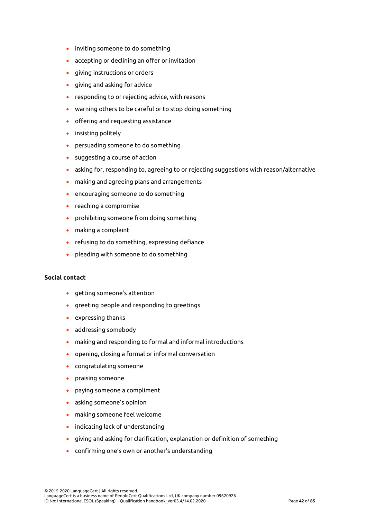- inviting someone to do something
- accepting or declining an offer or invitation
- giving instructions or orders
- giving and asking for advice
- responding to or rejecting advice, with reasons
- warning others to be careful or to stop doing something
- offering and requesting assistance
- insisting politely
- persuading someone to do something
- suggesting a course of action
- asking for, responding to, agreeing to or rejecting suggestions with reason/alternative
- making and agreeing plans and arrangements
- encouraging someone to do something
- reaching a compromise
- prohibiting someone from doing something
- making a complaint
- refusing to do something, expressing defiance
- pleading with someone to do something

# **Social contact**

- getting someone's attention
- greeting people and responding to greetings
- expressing thanks
- addressing somebody
- making and responding to formal and informal introductions
- opening, closing a formal or informal conversation
- congratulating someone
- praising someone
- paying someone a compliment
- asking someone's opinion
- making someone feel welcome
- indicating lack of understanding
- giving and asking for clarification, explanation or definition of something
- confirming one's own or another's understanding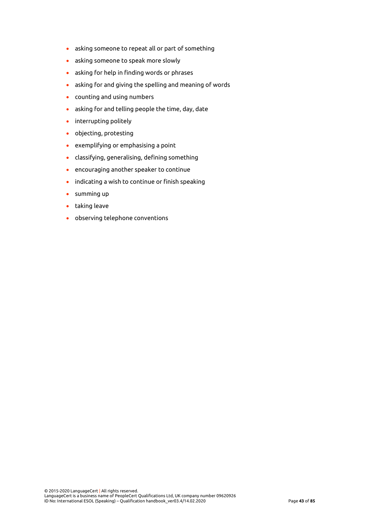- asking someone to repeat all or part of something
- asking someone to speak more slowly
- asking for help in finding words or phrases
- asking for and giving the spelling and meaning of words
- counting and using numbers
- asking for and telling people the time, day, date
- interrupting politely
- objecting, protesting
- exemplifying or emphasising a point
- classifying, generalising, defining something
- encouraging another speaker to continue
- indicating a wish to continue or finish speaking
- summing up
- taking leave
- observing telephone conventions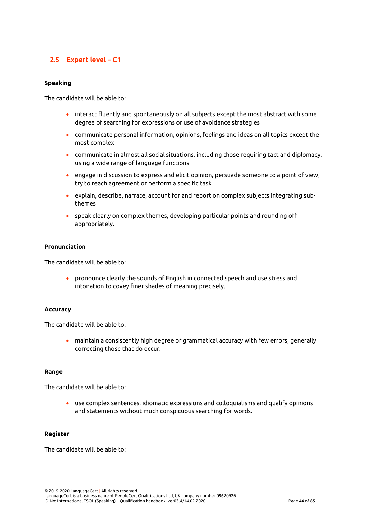# **2.5 Expert level – C1**

# **Speaking**

The candidate will be able to:

- interact fluently and spontaneously on all subjects except the most abstract with some degree of searching for expressions or use of avoidance strategies
- communicate personal information, opinions, feelings and ideas on all topics except the most complex
- communicate in almost all social situations, including those requiring tact and diplomacy, using a wide range of language functions
- engage in discussion to express and elicit opinion, persuade someone to a point of view, try to reach agreement or perform a specific task
- explain, describe, narrate, account for and report on complex subjects integrating subthemes
- speak clearly on complex themes, developing particular points and rounding off appropriately.

# **Pronunciation**

The candidate will be able to:

• pronounce clearly the sounds of English in connected speech and use stress and intonation to covey finer shades of meaning precisely.

# **Accuracy**

The candidate will be able to:

• maintain a consistently high degree of grammatical accuracy with few errors, generally correcting those that do occur.

#### **Range**

The candidate will be able to:

• use complex sentences, idiomatic expressions and colloquialisms and qualify opinions and statements without much conspicuous searching for words.

#### **Register**

The candidate will be able to: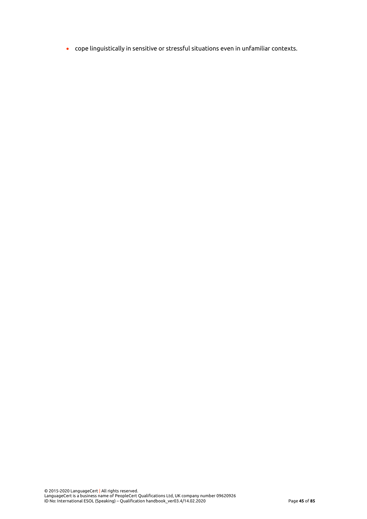• cope linguistically in sensitive or stressful situations even in unfamiliar contexts.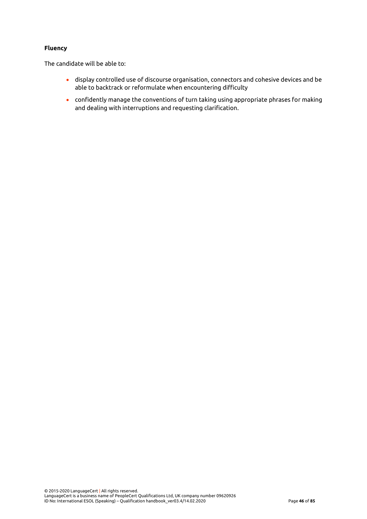# **Fluency**

The candidate will be able to:

- display controlled use of discourse organisation, connectors and cohesive devices and be able to backtrack or reformulate when encountering difficulty
- confidently manage the conventions of turn taking using appropriate phrases for making and dealing with interruptions and requesting clarification.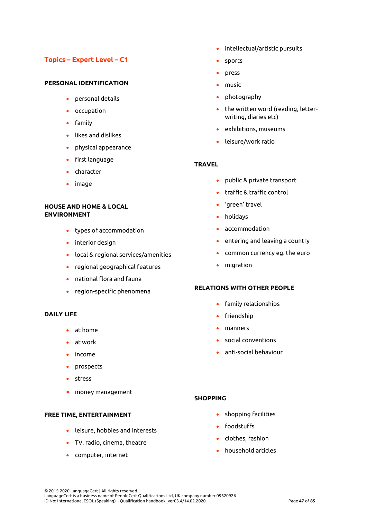# **Topics – Expert Level – C1**

# **PERSONAL IDENTIFICATION**

- personal details
- occupation
- family
- likes and dislikes
- physical appearance
- first language
- character
- image

# **HOUSE AND HOME & LOCAL ENVIRONMENT**

- types of accommodation
- interior design
- local & regional services/amenities
- regional geographical features
- national flora and fauna
- region-specific phenomena

# **DAILY LIFE**

- at home
- at work
- income
- prospects
- stress
- money management

# **FREE TIME, ENTERTAINMENT**

- leisure, hobbies and interests
- TV, radio, cinema, theatre
- computer, internet
- intellectual/artistic pursuits
- sports
- press
- music
- photography
- the written word (reading, letterwriting, diaries etc)
- exhibitions, museums
- leisure/work ratio

## **TRAVEL**

- public & private transport
- traffic & traffic control
- 'green' travel
- holidays
- accommodation
- entering and leaving a country
- common currency eg. the euro
- migration

#### **RELATIONS WITH OTHER PEOPLE**

- family relationships
- friendship
- manners
- social conventions
- anti-social behaviour

# **SHOPPING**

- shopping facilities
- foodstuffs
- clothes, fashion
- household articles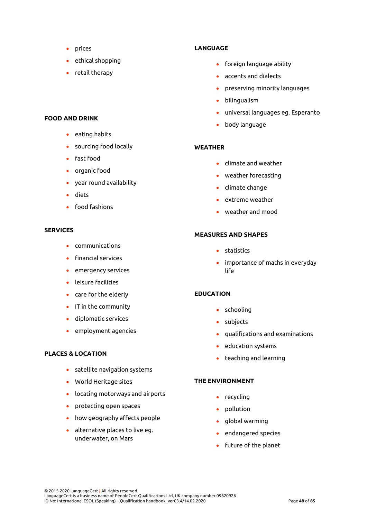- prices
- ethical shopping
- retail therapy

# **FOOD AND DRINK**

- eating habits
- sourcing food locally
- fast food
- organic food
- year round availability
- diets
- food fashions

#### **SERVICES**

- communications
- financial services
- emergency services
- leisure facilities
- care for the elderly
- IT in the community
- diplomatic services
- employment agencies

# **PLACES & LOCATION**

- satellite navigation systems
- World Heritage sites
- locating motorways and airports
- protecting open spaces
- how geography affects people
- alternative places to live eg. underwater, on Mars

## **LANGUAGE**

- foreign language ability
- accents and dialects
- preserving minority languages
- bilingualism
- universal languages eg. Esperanto
- body language

# **WEATHER**

- climate and weather
- weather forecasting
- climate change
- extreme weather
- weather and mood

#### **MEASURES AND SHAPES**

- statistics
- importance of maths in everyday life

# **EDUCATION**

- schooling
- subjects
- qualifications and examinations
- education systems
- teaching and learning

### **THE ENVIRONMENT**

- recycling
- pollution
- global warming
- endangered species
- future of the planet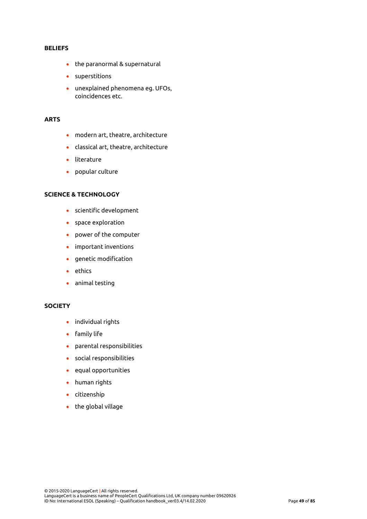#### **BELIEFS**

- the paranormal & supernatural
- superstitions
- unexplained phenomena eg. UFOs, coincidences etc.

## **ARTS**

- modern art, theatre, architecture
- classical art, theatre, architecture
- literature
- popular culture

# **SCIENCE & TECHNOLOGY**

- scientific development
- space exploration
- power of the computer
- important inventions
- genetic modification
- ethics
- animal testing

#### **SOCIETY**

- individual rights
- family life
- parental responsibilities
- social responsibilities
- equal opportunities
- human rights
- citizenship
- the global village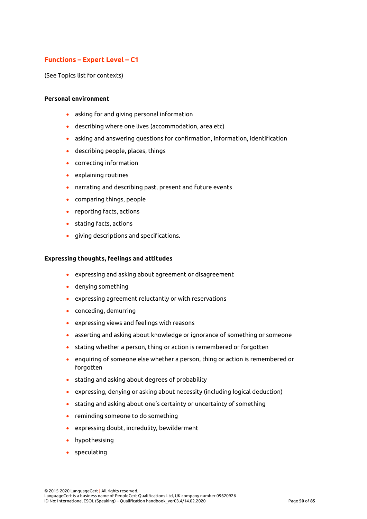# **Functions – Expert Level – C1**

(See Topics list for contexts)

### **Personal environment**

- asking for and giving personal information
- describing where one lives (accommodation, area etc)
- asking and answering questions for confirmation, information, identification
- describing people, places, things
- correcting information
- explaining routines
- narrating and describing past, present and future events
- comparing things, people
- reporting facts, actions
- stating facts, actions
- giving descriptions and specifications.

#### **Expressing thoughts, feelings and attitudes**

- expressing and asking about agreement or disagreement
- denying something
- expressing agreement reluctantly or with reservations
- conceding, demurring
- expressing views and feelings with reasons
- asserting and asking about knowledge or ignorance of something or someone
- stating whether a person, thing or action is remembered or forgotten
- enquiring of someone else whether a person, thing or action is remembered or forgotten
- stating and asking about degrees of probability
- expressing, denying or asking about necessity (including logical deduction)
- stating and asking about one's certainty or uncertainty of something
- reminding someone to do something
- expressing doubt, incredulity, bewilderment
- hypothesising
- speculating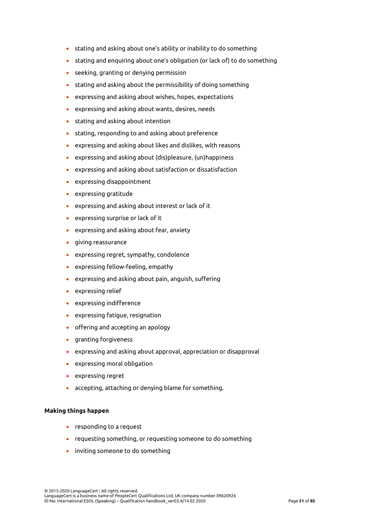- stating and asking about one's ability or inability to do something
- stating and enquiring about one's obligation (or lack of) to do something
- seeking, granting or denying permission
- stating and asking about the permissibility of doing something
- expressing and asking about wishes, hopes, expectations
- expressing and asking about wants, desires, needs
- stating and asking about intention
- stating, responding to and asking about preference
- expressing and asking about likes and dislikes, with reasons
- expressing and asking about (dis)pleasure, (un)happiness
- expressing and asking about satisfaction or dissatisfaction
- expressing disappointment
- expressing gratitude
- expressing and asking about interest or lack of it
- expressing surprise or lack of it
- expressing and asking about fear, anxiety
- giving reassurance
- expressing regret, sympathy, condolence
- expressing fellow-feeling, empathy
- expressing and asking about pain, anguish, suffering
- expressing relief
- expressing indifference
- expressing fatigue, resignation
- offering and accepting an apology
- granting forgiveness
- expressing and asking about approval, appreciation or disapproval
- expressing moral obligation
- expressing regret
- accepting, attaching or denying blame for something.

# **Making things happen**

- responding to a request
- requesting something, or requesting someone to do something
- inviting someone to do something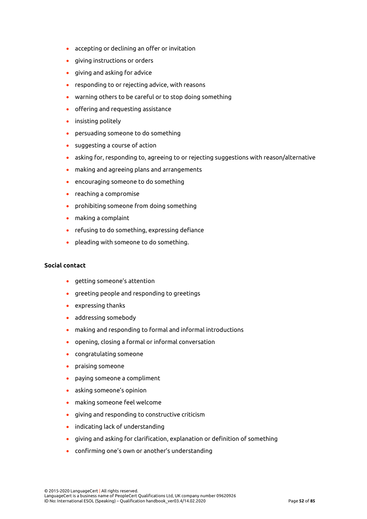- accepting or declining an offer or invitation
- giving instructions or orders
- giving and asking for advice
- responding to or rejecting advice, with reasons
- warning others to be careful or to stop doing something
- offering and requesting assistance
- insisting politely
- persuading someone to do something
- suggesting a course of action
- asking for, responding to, agreeing to or rejecting suggestions with reason/alternative
- making and agreeing plans and arrangements
- encouraging someone to do something
- reaching a compromise
- prohibiting someone from doing something
- making a complaint
- refusing to do something, expressing defiance
- pleading with someone to do something.

# **Social contact**

- getting someone's attention
- greeting people and responding to greetings
- expressing thanks
- addressing somebody
- making and responding to formal and informal introductions
- opening, closing a formal or informal conversation
- congratulating someone
- praising someone
- paying someone a compliment
- asking someone's opinion
- making someone feel welcome
- giving and responding to constructive criticism
- indicating lack of understanding
- giving and asking for clarification, explanation or definition of something
- confirming one's own or another's understanding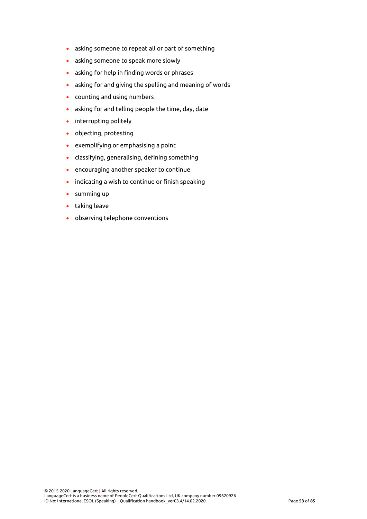- asking someone to repeat all or part of something
- asking someone to speak more slowly
- asking for help in finding words or phrases
- asking for and giving the spelling and meaning of words
- counting and using numbers
- asking for and telling people the time, day, date
- interrupting politely
- objecting, protesting
- exemplifying or emphasising a point
- classifying, generalising, defining something
- encouraging another speaker to continue
- indicating a wish to continue or finish speaking
- summing up
- taking leave
- observing telephone conventions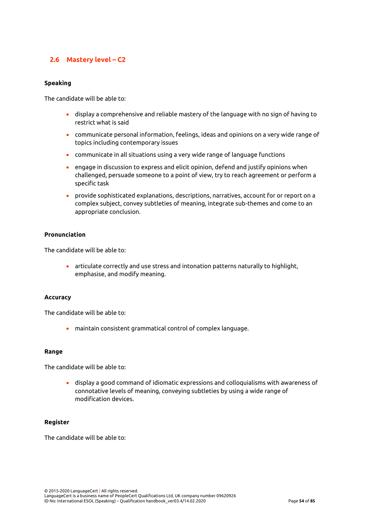# **2.6 Mastery level – C2**

### **Speaking**

The candidate will be able to:

- display a comprehensive and reliable mastery of the language with no sign of having to restrict what is said
- communicate personal information, feelings, ideas and opinions on a very wide range of topics including contemporary issues
- communicate in all situations using a very wide range of language functions
- engage in discussion to express and elicit opinion, defend and justify opinions when challenged, persuade someone to a point of view, try to reach agreement or perform a specific task
- provide sophisticated explanations, descriptions, narratives, account for or report on a complex subject, convey subtleties of meaning, integrate sub-themes and come to an appropriate conclusion.

### **Pronunciation**

The candidate will be able to:

• articulate correctly and use stress and intonation patterns naturally to highlight, emphasise, and modify meaning.

#### **Accuracy**

The candidate will be able to:

• maintain consistent grammatical control of complex language.

#### **Range**

The candidate will be able to:

• display a good command of idiomatic expressions and colloquialisms with awareness of connotative levels of meaning, conveying subtleties by using a wide range of modification devices.

#### **Register**

The candidate will be able to: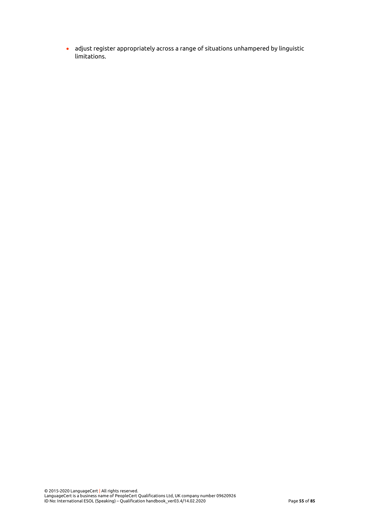• adjust register appropriately across a range of situations unhampered by linguistic limitations.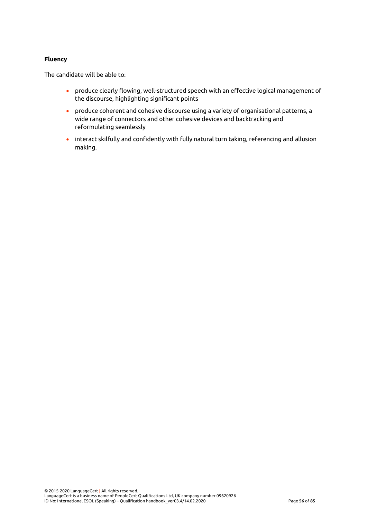# **Fluency**

The candidate will be able to:

- produce clearly flowing, well-structured speech with an effective logical management of the discourse, highlighting significant points
- produce coherent and cohesive discourse using a variety of organisational patterns, a wide range of connectors and other cohesive devices and backtracking and reformulating seamlessly
- interact skilfully and confidently with fully natural turn taking, referencing and allusion making.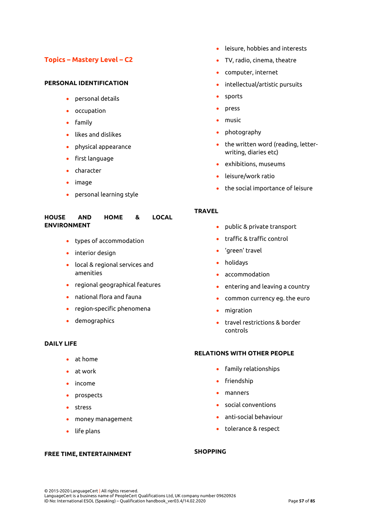# **Topics – Mastery Level – C2**

# **PERSONAL IDENTIFICATION**

- personal details
- occupation
- family
- likes and dislikes
- physical appearance
- first language
- character
- image
- personal learning style

#### **HOUSE AND HOME & LOCAL ENVIRONMENT**

- types of accommodation
- interior design
- local & regional services and amenities
- regional geographical features
- national flora and fauna
- region-specific phenomena
- demographics

# **DAILY LIFE**

- at home
- at work
- income
- prospects
- stress
- money management
- life plans

#### **FREE TIME, ENTERTAINMENT**

- leisure, hobbies and interests
- TV, radio, cinema, theatre
- computer, internet
- intellectual/artistic pursuits
- sports
- press
- music
- photography
- the written word (reading, letterwriting, diaries etc)
- exhibitions, museums
- leisure/work ratio
- the social importance of leisure

### **TRAVEL**

- public & private transport
- traffic & traffic control
- 'green' travel
- holidays
- accommodation
- entering and leaving a country
- common currency eg. the euro
- migration
- travel restrictions & border controls

# **RELATIONS WITH OTHER PEOPLE**

- family relationships
- friendship
- manners
- social conventions
- anti-social behaviour
- tolerance & respect

# **SHOPPING**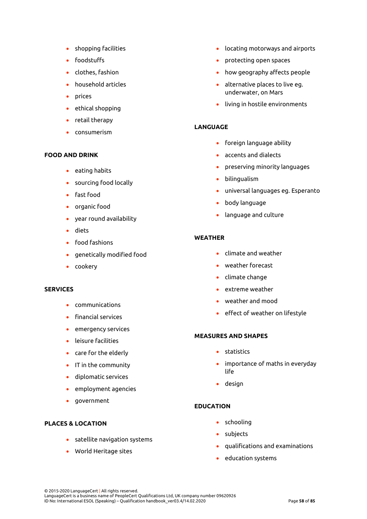- shopping facilities
- foodstuffs
- clothes, fashion
- household articles
- prices
- ethical shopping
- retail therapy
- consumerism

# **FOOD AND DRINK**

- eating habits
- sourcing food locally
- fast food
- organic food
- year round availability
- diets
- food fashions
- genetically modified food
- cookery

# **SERVICES**

- communications
- financial services
- emergency services
- leisure facilities
- care for the elderly
- IT in the community
- diplomatic services
- employment agencies
- government

# **PLACES & LOCATION**

- satellite navigation systems
- World Heritage sites
- locating motorways and airports
- protecting open spaces
- how geography affects people
- alternative places to live eg. underwater, on Mars
- living in hostile environments

# **LANGUAGE**

- foreign language ability
- accents and dialects
- preserving minority languages
- bilingualism
- universal languages eg. Esperanto
- body language
- language and culture

# **WEATHER**

- climate and weather
- weather forecast
- climate change
- extreme weather
- weather and mood
- effect of weather on lifestyle

# **MEASURES AND SHAPES**

- statistics
- importance of maths in everyday life
- design

# **EDUCATION**

- schooling
- subjects
- qualifications and examinations
- education systems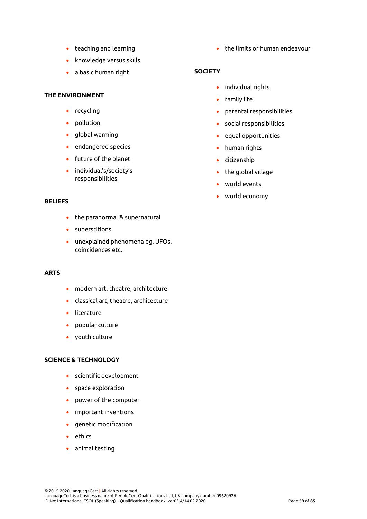- teaching and learning
- knowledge versus skills
- a basic human right

#### **THE ENVIRONMENT**

- recycling
- pollution
- global warming
- endangered species
- future of the planet
- individual's/society's responsibilities

### **BELIEFS**

- the paranormal & supernatural
- superstitions
- unexplained phenomena eg. UFOs, coincidences etc.

# **ARTS**

- modern art, theatre, architecture
- classical art, theatre, architecture
- literature
- popular culture
- youth culture

#### **SCIENCE & TECHNOLOGY**

- scientific development
- space exploration
- power of the computer
- important inventions
- genetic modification
- ethics
- animal testing

• the limits of human endeavour

## **SOCIETY**

- individual rights
- family life
- parental responsibilities
- social responsibilities
- equal opportunities
- human rights
- citizenship
- the global village
- world events
- world economy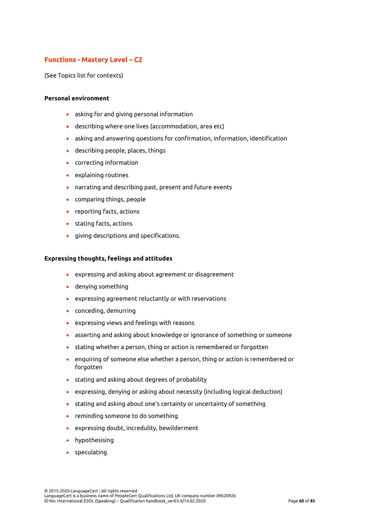# **Functions - Mastery Level – C2**

(See Topics list for contexts)

### **Personal environment**

- asking for and giving personal information
- describing where one lives (accommodation, area etc)
- asking and answering questions for confirmation, information, identification
- describing people, places, things
- correcting information
- explaining routines
- narrating and describing past, present and future events
- comparing things, people
- reporting facts, actions
- stating facts, actions
- giving descriptions and specifications.

#### **Expressing thoughts, feelings and attitudes**

- expressing and asking about agreement or disagreement
- denying something
- expressing agreement reluctantly or with reservations
- conceding, demurring
- expressing views and feelings with reasons
- asserting and asking about knowledge or ignorance of something or someone
- stating whether a person, thing or action is remembered or forgotten
- enquiring of someone else whether a person, thing or action is remembered or forgotten
- stating and asking about degrees of probability
- expressing, denying or asking about necessity (including logical deduction)
- stating and asking about one's certainty or uncertainty of something
- reminding someone to do something
- expressing doubt, incredulity, bewilderment
- hypothesising
- speculating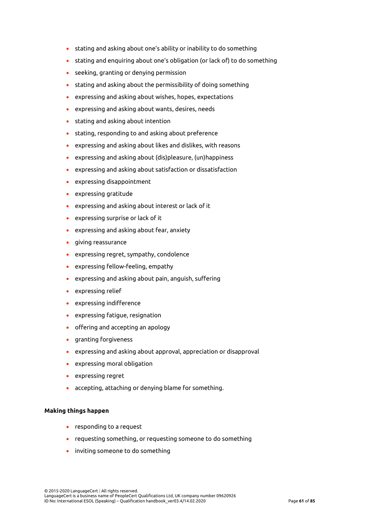- stating and asking about one's ability or inability to do something
- stating and enquiring about one's obligation (or lack of) to do something
- seeking, granting or denying permission
- stating and asking about the permissibility of doing something
- expressing and asking about wishes, hopes, expectations
- expressing and asking about wants, desires, needs
- stating and asking about intention
- stating, responding to and asking about preference
- expressing and asking about likes and dislikes, with reasons
- expressing and asking about (dis)pleasure, (un)happiness
- expressing and asking about satisfaction or dissatisfaction
- expressing disappointment
- expressing gratitude
- expressing and asking about interest or lack of it
- expressing surprise or lack of it
- expressing and asking about fear, anxiety
- giving reassurance
- expressing regret, sympathy, condolence
- expressing fellow-feeling, empathy
- expressing and asking about pain, anguish, suffering
- expressing relief
- expressing indifference
- expressing fatigue, resignation
- offering and accepting an apology
- granting forgiveness
- expressing and asking about approval, appreciation or disapproval
- expressing moral obligation
- expressing regret
- accepting, attaching or denying blame for something.

# **Making things happen**

- responding to a request
- requesting something, or requesting someone to do something
- inviting someone to do something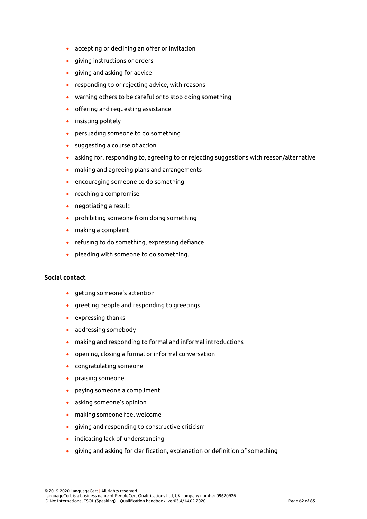- accepting or declining an offer or invitation
- giving instructions or orders
- giving and asking for advice
- responding to or rejecting advice, with reasons
- warning others to be careful or to stop doing something
- offering and requesting assistance
- insisting politely
- persuading someone to do something
- suggesting a course of action
- asking for, responding to, agreeing to or rejecting suggestions with reason/alternative
- making and agreeing plans and arrangements
- encouraging someone to do something
- reaching a compromise
- negotiating a result
- prohibiting someone from doing something
- making a complaint
- refusing to do something, expressing defiance
- pleading with someone to do something.

# **Social contact**

- getting someone's attention
- greeting people and responding to greetings
- expressing thanks
- addressing somebody
- making and responding to formal and informal introductions
- opening, closing a formal or informal conversation
- congratulating someone
- praising someone
- paying someone a compliment
- asking someone's opinion
- making someone feel welcome
- giving and responding to constructive criticism
- indicating lack of understanding
- giving and asking for clarification, explanation or definition of something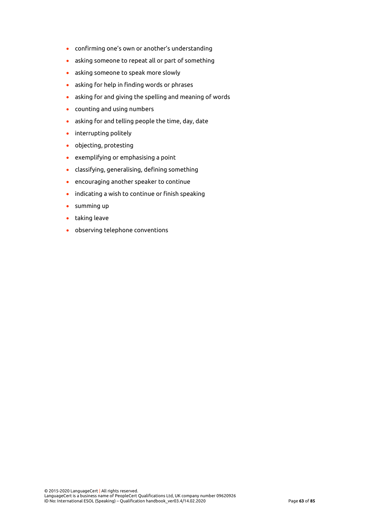- confirming one's own or another's understanding
- asking someone to repeat all or part of something
- asking someone to speak more slowly
- asking for help in finding words or phrases
- asking for and giving the spelling and meaning of words
- counting and using numbers
- asking for and telling people the time, day, date
- interrupting politely
- objecting, protesting
- exemplifying or emphasising a point
- classifying, generalising, defining something
- encouraging another speaker to continue
- indicating a wish to continue or finish speaking
- summing up
- taking leave
- observing telephone conventions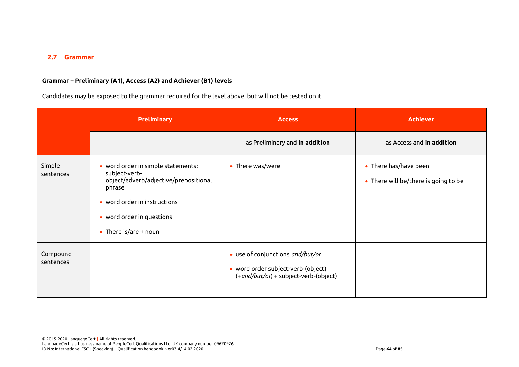# **2.7 Grammar**

# **Grammar – Preliminary (A1), Access (A2) and Achiever (B1) levels**

Candidates may be exposed to the grammar required for the level above, but will not be tested on it.

|                       | <b>Preliminary</b>                                                                                                                                                                             | <b>Access</b>                                                                                                   | <b>Achiever</b>                                               |
|-----------------------|------------------------------------------------------------------------------------------------------------------------------------------------------------------------------------------------|-----------------------------------------------------------------------------------------------------------------|---------------------------------------------------------------|
|                       |                                                                                                                                                                                                | as Preliminary and in addition                                                                                  | as Access and in addition                                     |
| Simple<br>sentences   | • word order in simple statements:<br>subject-verb-<br>object/adverb/adjective/prepositional<br>phrase<br>• word order in instructions<br>• word order in questions<br>• There is/are $+$ noun | • There was/were                                                                                                | • There has/have been<br>• There will be/there is going to be |
| Compound<br>sentences |                                                                                                                                                                                                | • use of conjunctions and/but/or<br>• word order subject-verb-(object)<br>(+and/but/or) + subject-verb-(object) |                                                               |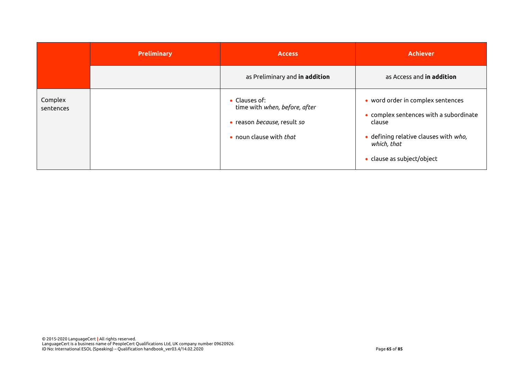|                      | <b>Preliminary</b> | <b>Access</b>                                                                                            | <b>Achiever</b>                                                                                                                                                             |
|----------------------|--------------------|----------------------------------------------------------------------------------------------------------|-----------------------------------------------------------------------------------------------------------------------------------------------------------------------------|
|                      |                    | as Preliminary and in addition                                                                           | as Access and in addition                                                                                                                                                   |
| Complex<br>sentences |                    | • Clauses of:<br>time with when, before, after<br>• reason because, result so<br>• noun clause with that | • word order in complex sentences<br>• complex sentences with a subordinate<br>clause<br>· defining relative clauses with who,<br>which, that<br>· clause as subject/object |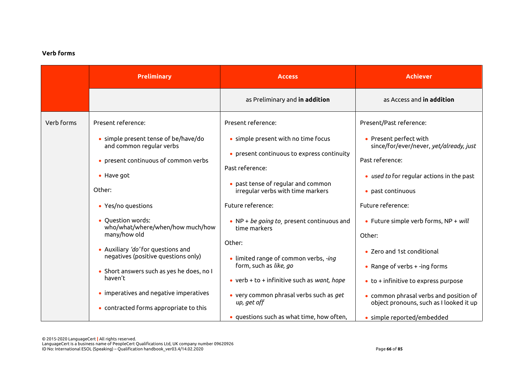# **Verb forms**

|            | <b>Preliminary</b>                                                                                                     | <b>Access</b>                                                                              | <b>Achiever</b>                                                                      |
|------------|------------------------------------------------------------------------------------------------------------------------|--------------------------------------------------------------------------------------------|--------------------------------------------------------------------------------------|
|            |                                                                                                                        | as Preliminary and in addition                                                             | as Access and in addition                                                            |
| Verb forms | Present reference:                                                                                                     | Present reference:                                                                         | Present/Past reference:                                                              |
|            | • simple present tense of be/have/do<br>and common regular verbs<br>• present continuous of common verbs               | • simple present with no time focus<br>• present continuous to express continuity          | • Present perfect with<br>since/for/ever/never, yet/already, just<br>Past reference: |
|            | • Have got<br>Other:                                                                                                   | Past reference:<br>• past tense of regular and common<br>irregular verbs with time markers | • used to for regular actions in the past<br>• past continuous                       |
|            | • Yes/no questions                                                                                                     | Future reference:                                                                          | Future reference:                                                                    |
|            | • Question words:<br>who/what/where/when/how much/how<br>many/how old                                                  | • NP + be going to, present continuous and<br>time markers                                 | • Future simple verb forms, $NP + will$<br>Other:                                    |
|            | • Auxiliary 'do' for questions and<br>negatives (positive questions only)<br>• Short answers such as yes he does, no I | Other:<br>• limited range of common verbs, -ing<br>form, such as like, go                  | • Zero and 1st conditional<br>• Range of verbs $+$ -ing forms                        |
|            | haven't                                                                                                                | • verb + to + infinitive such as want, hope                                                | $\bullet$ to + infinitive to express purpose                                         |
|            | • imperatives and negative imperatives<br>• contracted forms appropriate to this                                       | • very common phrasal verbs such as get<br>up, get off                                     | • common phrasal verbs and position of<br>object pronouns, such as I looked it up    |
|            |                                                                                                                        | • questions such as what time, how often,                                                  | · simple reported/embedded                                                           |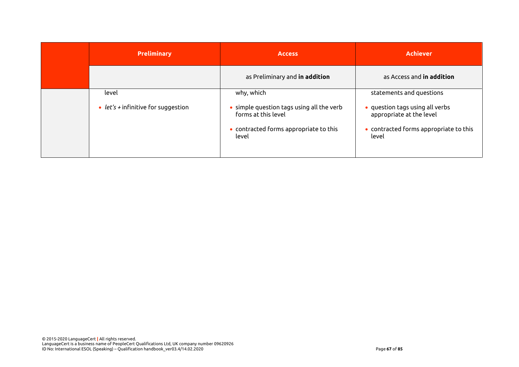| <b>Preliminary</b>                         | <b>Access</b>                                                                                                       | <b>Achiever</b>                                                                                                |
|--------------------------------------------|---------------------------------------------------------------------------------------------------------------------|----------------------------------------------------------------------------------------------------------------|
|                                            | as Preliminary and in addition                                                                                      | as Access and <b>in addition</b>                                                                               |
| level                                      | why, which                                                                                                          | statements and questions                                                                                       |
| • <i>let's</i> + infinitive for suggestion | • simple question tags using all the verb<br>forms at this level<br>• contracted forms appropriate to this<br>level | • question tags using all verbs<br>appropriate at the level<br>• contracted forms appropriate to this<br>level |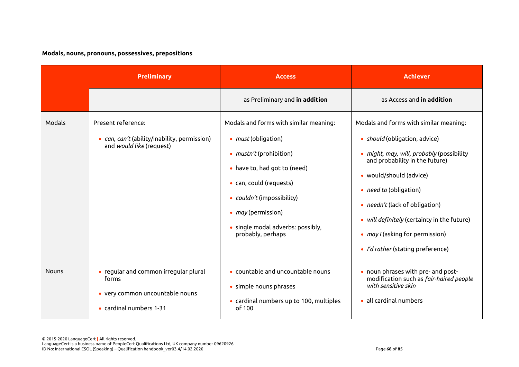# **Modals, nouns, pronouns, possessives, prepositions**

|              | <b>Preliminary</b>                                                                                           | <b>Access</b>                                                                                                                                                                                                                                                                          | <b>Achiever</b>                                                                                                                                                                                                                                                                                                                                                                    |
|--------------|--------------------------------------------------------------------------------------------------------------|----------------------------------------------------------------------------------------------------------------------------------------------------------------------------------------------------------------------------------------------------------------------------------------|------------------------------------------------------------------------------------------------------------------------------------------------------------------------------------------------------------------------------------------------------------------------------------------------------------------------------------------------------------------------------------|
|              |                                                                                                              | as Preliminary and in addition                                                                                                                                                                                                                                                         | as Access and in addition                                                                                                                                                                                                                                                                                                                                                          |
| Modals       | Present reference:<br>• can, can't (ability/inability, permission)<br>and would like (request)               | Modals and forms with similar meaning:<br>• <i>must</i> (obligation)<br>• <i>mustn't</i> (prohibition)<br>• have to, had got to (need)<br>• can, could (requests)<br>• couldn't (impossibility)<br>• <i>may</i> (permission)<br>• single modal adverbs: possibly,<br>probably, perhaps | Modals and forms with similar meaning:<br>• should (obligation, advice)<br>• might, may, will, probably (possibility<br>and probability in the future)<br>· would/should (advice)<br>• <i>need to</i> (obligation)<br>• <i>needn't</i> (lack of obligation)<br>• will definitely (certainty in the future)<br>• may I (asking for permission)<br>· I'd rather (stating preference) |
| <b>Nouns</b> | • regular and common irregular plural<br>forms<br>• very common uncountable nouns<br>• cardinal numbers 1-31 | • countable and uncountable nouns<br>• simple nouns phrases<br>• cardinal numbers up to 100, multiples<br>of 100                                                                                                                                                                       | • noun phrases with pre- and post-<br>modification such as fair-haired people<br>with sensitive skin<br>• all cardinal numbers                                                                                                                                                                                                                                                     |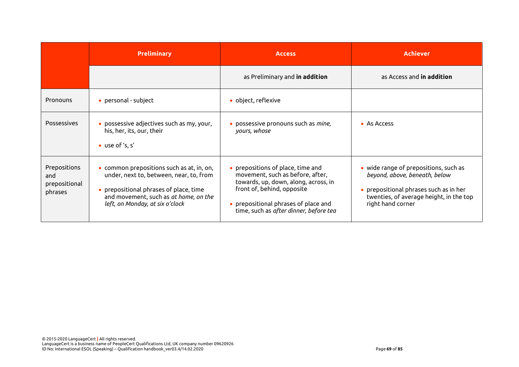|                                                 | <b>Preliminary</b>                                                                                                                                                                                         | <b>Access</b>                                                                                                                                                                                                                 | <b>Achiever</b>                                                                                                                                                                          |
|-------------------------------------------------|------------------------------------------------------------------------------------------------------------------------------------------------------------------------------------------------------------|-------------------------------------------------------------------------------------------------------------------------------------------------------------------------------------------------------------------------------|------------------------------------------------------------------------------------------------------------------------------------------------------------------------------------------|
|                                                 |                                                                                                                                                                                                            | as Preliminary and in addition                                                                                                                                                                                                | as Access and <b>in addition</b>                                                                                                                                                         |
| Pronouns                                        | • personal - subject                                                                                                                                                                                       | • object, reflexive                                                                                                                                                                                                           |                                                                                                                                                                                          |
| <b>Possessives</b>                              | • possessive adjectives such as my, your,<br>his, her, its, our, their<br>• use of 's, s'                                                                                                                  | • possessive pronouns such as mine,<br>yours, whose                                                                                                                                                                           | • As Access                                                                                                                                                                              |
| Prepositions<br>and<br>prepositional<br>phrases | • common prepositions such as at, in, on,<br>under, next to, between, near, to, from<br>• prepositional phrases of place, time<br>and movement, such as at home, on the<br>left, on Monday, at six o'clock | • prepositions of place, time and<br>movement, such as before, after,<br>towards, up, down, along, across, in<br>front of, behind, opposite<br>• prepositional phrases of place and<br>time, such as after dinner, before tea | • wide range of prepositions, such as<br>beyond, above, beneath, below<br>$\bullet$ prepositional phrases such as in her<br>twenties, of average height, in the top<br>right hand corner |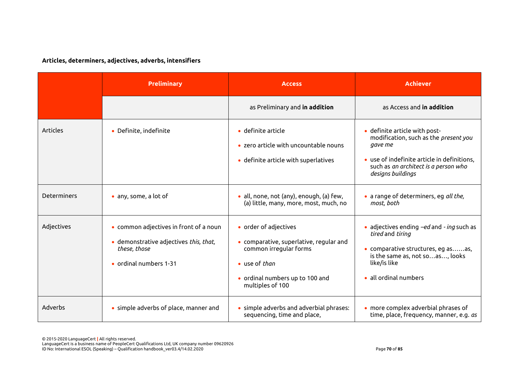# **Articles, determiners, adjectives, adverbs, intensifiers**

|             | <b>Preliminary</b>                                                                                                         | <b>Access</b>                                                                                                                                                      | <b>Achiever</b>                                                                                                                                                                               |
|-------------|----------------------------------------------------------------------------------------------------------------------------|--------------------------------------------------------------------------------------------------------------------------------------------------------------------|-----------------------------------------------------------------------------------------------------------------------------------------------------------------------------------------------|
|             |                                                                                                                            | as Preliminary and in addition                                                                                                                                     | as Access and in addition                                                                                                                                                                     |
| Articles    | • Definite, indefinite                                                                                                     | • definite article<br>• zero article with uncountable nouns<br>· definite article with superlatives                                                                | · definite article with post-<br>modification, such as the present you<br>gave me<br>• use of indefinite article in definitions,<br>such as an architect is a person who<br>designs buildings |
| Determiners | • any, some, a lot of                                                                                                      | • all, none, not (any), enough, (a) few,<br>(a) little, many, more, most, much, no                                                                                 | · a range of determiners, eg all the,<br>most, both                                                                                                                                           |
| Adjectives  | • common adjectives in front of a noun<br>· demonstrative adjectives this, that,<br>these, those<br>• ordinal numbers 1-31 | • order of adjectives<br>• comparative, superlative, regular and<br>common irregular forms<br>• use of than<br>• ordinal numbers up to 100 and<br>multiples of 100 | adjectives ending -ed and - ing such as<br>tired and tiring<br>· comparative structures, eg asas,<br>is the same as, not soas, looks<br>like/is like<br>all ordinal numbers                   |
| Adverbs     | • simple adverbs of place, manner and                                                                                      | • simple adverbs and adverbial phrases:<br>sequencing, time and place,                                                                                             | • more complex adverbial phrases of<br>time, place, frequency, manner, e.g. as                                                                                                                |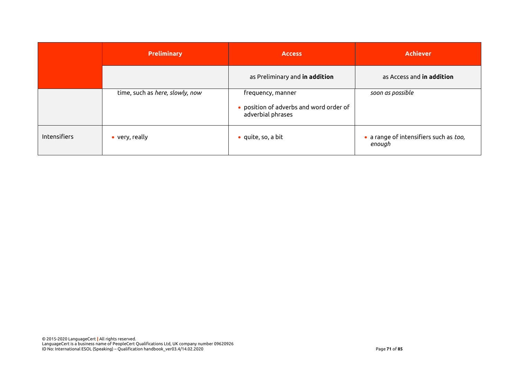|              | <b>Preliminary</b>              | <b>Access</b>                                                                     | <b>Achiever</b>                                  |
|--------------|---------------------------------|-----------------------------------------------------------------------------------|--------------------------------------------------|
|              |                                 | as Preliminary and in addition                                                    | as Access and in addition                        |
|              | time, such as here, slowly, now | frequency, manner<br>• position of adverbs and word order of<br>adverbial phrases | soon as possible                                 |
| Intensifiers | • very, really                  | $\bullet$ quite, so, a bit                                                        | · a range of intensifiers such as too,<br>enough |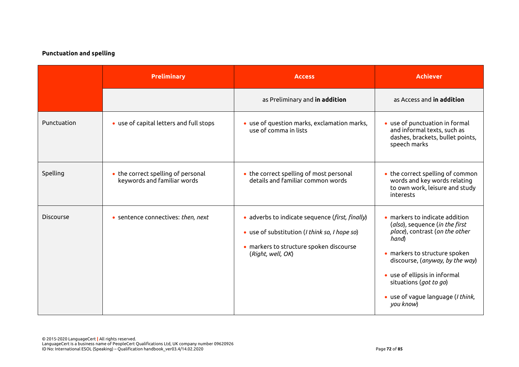## **Punctuation and spelling**

|                  | <b>Preliminary</b>                                                | <b>Access</b>                                                                                                                                                    | <b>Achiever</b>                                                                                                                                                                                                                                                                                      |
|------------------|-------------------------------------------------------------------|------------------------------------------------------------------------------------------------------------------------------------------------------------------|------------------------------------------------------------------------------------------------------------------------------------------------------------------------------------------------------------------------------------------------------------------------------------------------------|
|                  |                                                                   | as Preliminary and in addition                                                                                                                                   | as Access and in addition                                                                                                                                                                                                                                                                            |
| Punctuation      | • use of capital letters and full stops                           | • use of question marks, exclamation marks,<br>use of comma in lists                                                                                             | • use of punctuation in formal<br>and informal texts, such as<br>dashes, brackets, bullet points,<br>speech marks                                                                                                                                                                                    |
| Spelling         | • the correct spelling of personal<br>keywords and familiar words | • the correct spelling of most personal<br>details and familiar common words                                                                                     | • the correct spelling of common<br>words and key words relating<br>to own work, leisure and study<br>interests                                                                                                                                                                                      |
| <b>Discourse</b> | • sentence connectives: then, next                                | · adverbs to indicate sequence (first, finally)<br>• use of substitution (I think so, I hope so)<br>• markers to structure spoken discourse<br>(Right, well, OK) | $\bullet$ markers to indicate addition<br>(also), sequence (in the first<br>place), contrast (on the other<br>hand)<br>• markers to structure spoken<br>discourse, (anyway, by the way)<br>• use of ellipsis in informal<br>situations (got to go)<br>• use of vague language (I think,<br>you know) |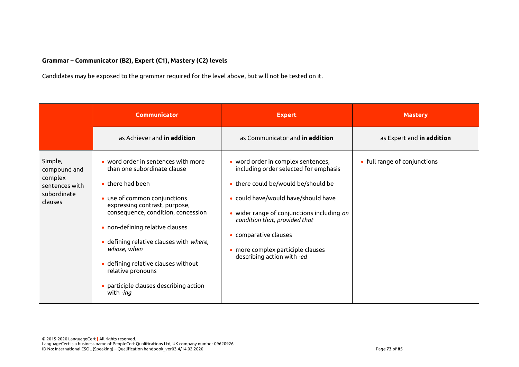## **Grammar – Communicator (B2), Expert (C1), Mastery (C2) levels**

Candidates may be exposed to the grammar required for the level above, but will not be tested on it.

|                                                                                | <b>Communicator</b>                                                                                                                                                                                                                                                                                                                                                                                                           | <b>Expert</b>                                                                                                                                                                                                                                                                                                                        | <b>Mastery</b>               |
|--------------------------------------------------------------------------------|-------------------------------------------------------------------------------------------------------------------------------------------------------------------------------------------------------------------------------------------------------------------------------------------------------------------------------------------------------------------------------------------------------------------------------|--------------------------------------------------------------------------------------------------------------------------------------------------------------------------------------------------------------------------------------------------------------------------------------------------------------------------------------|------------------------------|
|                                                                                | as Achiever and <b>in addition</b>                                                                                                                                                                                                                                                                                                                                                                                            | as Communicator and <b>in addition</b>                                                                                                                                                                                                                                                                                               | as Expert and in addition    |
| Simple,<br>compound and<br>complex<br>sentences with<br>subordinate<br>clauses | $\bullet$ word order in sentences with more<br>than one subordinate clause<br>$\bullet$ there had been<br>• use of common conjunctions<br>expressing contrast, purpose,<br>consequence, condition, concession<br>• non-defining relative clauses<br>• defining relative clauses with where,<br>whose, when<br>· defining relative clauses without<br>relative pronouns<br>• participle clauses describing action<br>with -ing | • word order in complex sentences,<br>including order selected for emphasis<br>• there could be/would be/should be<br>• could have/would have/should have<br>• wider range of conjunctions including on<br>condition that, provided that<br>• comparative clauses<br>• more complex participle clauses<br>describing action with -ed | • full range of conjunctions |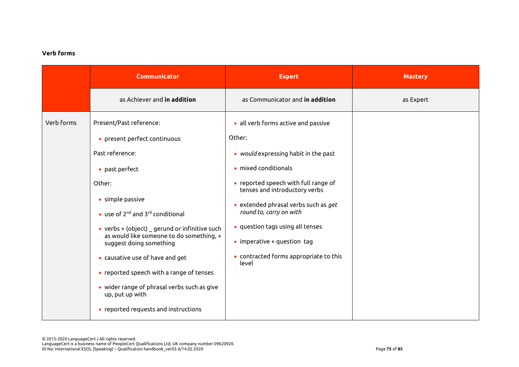## **Verb forms**

|            | <b>Communicator</b>                                                                                                                                                                                                                                                                                                                                                                                                                                                                                                                       | <b>Expert</b>                                                                                                                                                                                                                                                                                                                                                                             | <b>Mastery</b> |
|------------|-------------------------------------------------------------------------------------------------------------------------------------------------------------------------------------------------------------------------------------------------------------------------------------------------------------------------------------------------------------------------------------------------------------------------------------------------------------------------------------------------------------------------------------------|-------------------------------------------------------------------------------------------------------------------------------------------------------------------------------------------------------------------------------------------------------------------------------------------------------------------------------------------------------------------------------------------|----------------|
|            | as Achiever and in addition                                                                                                                                                                                                                                                                                                                                                                                                                                                                                                               | as Communicator and in addition                                                                                                                                                                                                                                                                                                                                                           | as Expert      |
| Verb forms | Present/Past reference:<br>• present perfect continuous<br>Past reference:<br>• past perfect<br>Other:<br>• simple passive<br>$\bullet$ use of 2 <sup>nd</sup> and 3 <sup>rd</sup> conditional<br>• verbs $+$ (object) $\overline{\phantom{a}}$ gerund or infinitive such<br>as would like someone to do something, +<br>suggest doing something<br>• causative use of have and get<br>• reported speech with a range of tenses<br>• wider range of phrasal verbs such as give<br>up, put up with<br>• reported requests and instructions | · all verb forms active and passive<br>Other:<br>• would expressing habit in the past<br>· mixed conditionals<br>• reported speech with full range of<br>tenses and introductory verbs<br>• extended phrasal verbs such as $get$<br>round to, carry on with<br>• question tags using all tenses<br>$\bullet$ imperative + question tag<br>• contracted forms appropriate to this<br>level |                |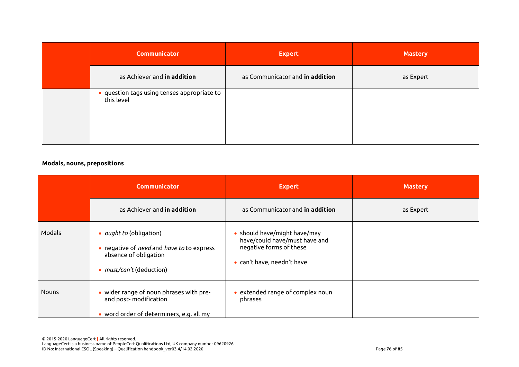| <b>Communicator</b>                                       | <b>Expert</b>                   | <b>Mastery</b> |
|-----------------------------------------------------------|---------------------------------|----------------|
| as Achiever and in addition                               | as Communicator and in addition | as Expert      |
| • question tags using tenses appropriate to<br>this level |                                 |                |

## **Modals, nouns, prepositions**

|              | <b>Communicator</b>                                                                                                                     | <b>Expert</b>                                                                                                                   | <b>Mastery</b> |
|--------------|-----------------------------------------------------------------------------------------------------------------------------------------|---------------------------------------------------------------------------------------------------------------------------------|----------------|
|              | as Achiever and <b>in addition</b>                                                                                                      | as Communicator and in addition                                                                                                 | as Expert      |
| Modals       | • <i>ought to</i> (obligation)<br>• negative of need and have to to express<br>absence of obligation<br>• <i>must/can't</i> (deduction) | should have/might have/may<br>have/could have/must have and<br>negative forms of these<br>can't have, needn't have<br>$\bullet$ |                |
| <b>Nouns</b> | • wider range of noun phrases with pre-<br>and post-modification<br>• word order of determiners, e.g. all my                            | extended range of complex noun<br>phrases                                                                                       |                |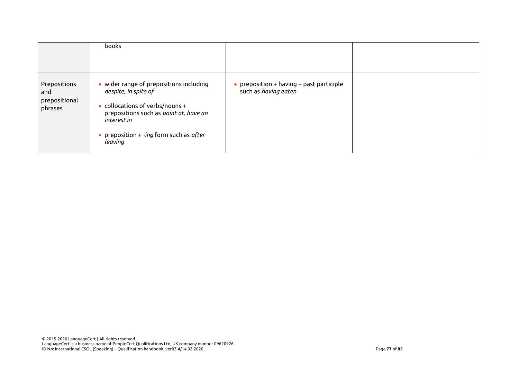|                                                 | <b>books</b>                                                                                                                                                                                                                |                                                                      |  |
|-------------------------------------------------|-----------------------------------------------------------------------------------------------------------------------------------------------------------------------------------------------------------------------------|----------------------------------------------------------------------|--|
| Prepositions<br>and<br>prepositional<br>phrases | • wider range of prepositions including<br>despite, in spite of<br>$\bullet$ collocations of verbs/nouns +<br>prepositions such as point at, have an<br>interest in<br>• preposition $+$ -ing form such as after<br>leaving | • preposition $+$ having $+$ past participle<br>such as having eaten |  |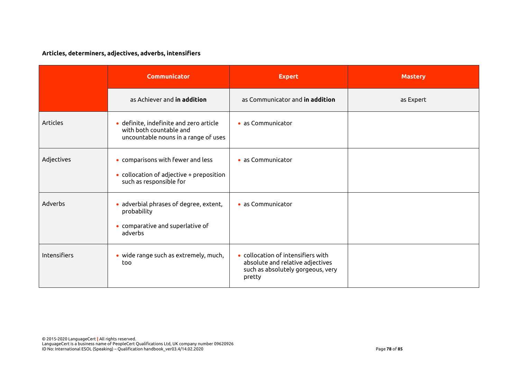# **Articles, determiners, adjectives, adverbs, intensifiers**

|                     | <b>Communicator</b>                                                                                              | <b>Expert</b>                                                                                                         | <b>Mastery</b> |
|---------------------|------------------------------------------------------------------------------------------------------------------|-----------------------------------------------------------------------------------------------------------------------|----------------|
|                     | as Achiever and in addition                                                                                      | as Communicator and in addition                                                                                       | as Expert      |
| <b>Articles</b>     | · definite, indefinite and zero article<br>with both countable and<br>uncountable nouns in a range of uses       | • as Communicator                                                                                                     |                |
| Adjectives          | • comparisons with fewer and less<br>$\bullet$ collocation of adjective + preposition<br>such as responsible for | · as Communicator                                                                                                     |                |
| Adverbs             | adverbial phrases of degree, extent,<br>$\bullet$<br>probability<br>• comparative and superlative of<br>adverbs  | • as Communicator                                                                                                     |                |
| <b>Intensifiers</b> | • wide range such as extremely, much,<br>too                                                                     | • collocation of intensifiers with<br>absolute and relative adjectives<br>such as absolutely gorgeous, very<br>pretty |                |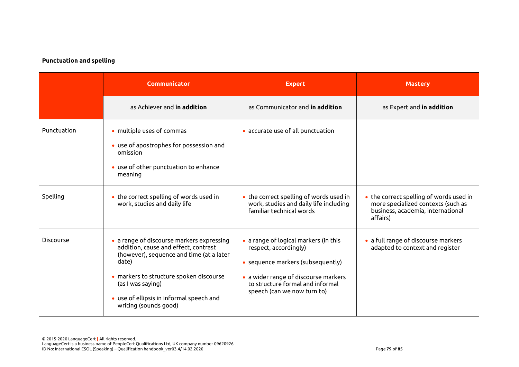## **Punctuation and spelling**

|                  | <b>Communicator</b>                                                                                                                                                                                                                                                         | <b>Expert</b>                                                                                                                                                                                                  | <b>Mastery</b>                                                                                                                 |
|------------------|-----------------------------------------------------------------------------------------------------------------------------------------------------------------------------------------------------------------------------------------------------------------------------|----------------------------------------------------------------------------------------------------------------------------------------------------------------------------------------------------------------|--------------------------------------------------------------------------------------------------------------------------------|
|                  | as Achiever and in addition                                                                                                                                                                                                                                                 | as Communicator and in addition                                                                                                                                                                                | as Expert and in addition                                                                                                      |
| Punctuation      | • multiple uses of commas<br>• use of apostrophes for possession and<br>omission<br>• use of other punctuation to enhance<br>meaning                                                                                                                                        | • accurate use of all punctuation                                                                                                                                                                              |                                                                                                                                |
| Spelling         | • the correct spelling of words used in<br>work, studies and daily life                                                                                                                                                                                                     | • the correct spelling of words used in<br>work, studies and daily life including<br>familiar technical words                                                                                                  | • the correct spelling of words used in<br>more specialized contexts (such as<br>business, academia, international<br>affairs) |
| <b>Discourse</b> | • a range of discourse markers expressing<br>addition, cause and effect, contrast<br>(however), sequence and time (at a later<br>date)<br>· markers to structure spoken discourse<br>(as I was saying)<br>• use of ellipsis in informal speech and<br>writing (sounds good) | • a range of logical markers (in this<br>respect, accordingly)<br>• sequence markers (subsequently)<br>• a wider range of discourse markers<br>to structure formal and informal<br>speech (can we now turn to) | • a full range of discourse markers<br>adapted to context and register                                                         |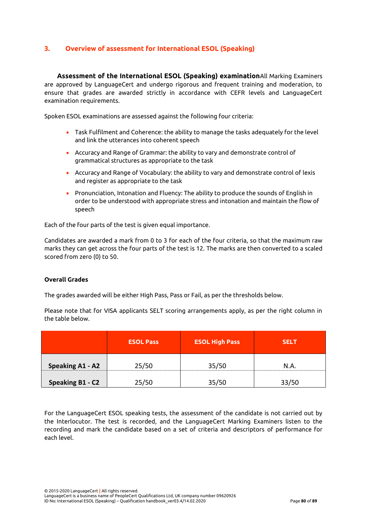# **3. Overview of assessment for International ESOL (Speaking)**

**Assessment of the International ESOL (Speaking) examination**All Marking Examiners are approved by LanguageCert and undergo rigorous and frequent training and moderation, to ensure that grades are awarded strictly in accordance with CEFR levels and LanguageCert examination requirements.

Spoken ESOL examinations are assessed against the following four criteria:

- Task Fulfilment and Coherence: the ability to manage the tasks adequately for the level and link the utterances into coherent speech
- Accuracy and Range of Grammar: the ability to vary and demonstrate control of grammatical structures as appropriate to the task
- Accuracy and Range of Vocabulary: the ability to vary and demonstrate control of lexis and register as appropriate to the task
- Pronunciation, Intonation and Fluency: The ability to produce the sounds of English in order to be understood with appropriate stress and intonation and maintain the flow of speech

Each of the four parts of the test is given equal importance.

Candidates are awarded a mark from 0 to 3 for each of the four criteria, so that the maximum raw marks they can get across the four parts of the test is 12. The marks are then converted to a scaled scored from zero (0) to 50.

## **Overall Grades**

The grades awarded will be either High Pass, Pass or Fail, as per the thresholds below.

Please note that for VISA applicants SELT scoring arrangements apply, as per the right column in the table below.

|                         | <b>ESOL Pass</b> | <b>ESOL High Pass</b> | <b>SELT</b> |
|-------------------------|------------------|-----------------------|-------------|
| <b>Speaking A1 - A2</b> | 25/50            | 35/50                 | N.A.        |
| Speaking B1 - C2        | 25/50            | 35/50                 | 33/50       |

For the LanguageCert ESOL speaking tests, the assessment of the candidate is not carried out by the Interlocutor. The test is recorded, and the LanguageCert Marking Examiners listen to the recording and mark the candidate based on a set of criteria and descriptors of performance for each level.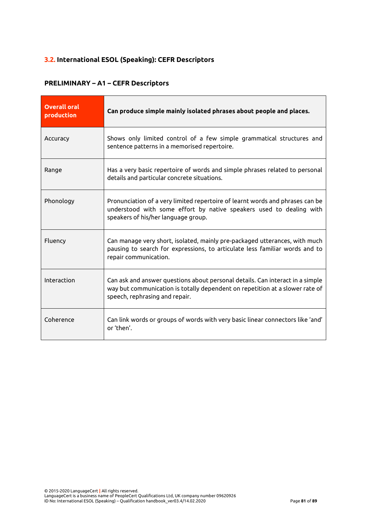# **3.2. International ESOL (Speaking): CEFR Descriptors**

## **PRELIMINARY – A1 – CEFR Descriptors**

| <b>Overall oral</b><br>production | Can produce simple mainly isolated phrases about people and places.                                                                                                                             |
|-----------------------------------|-------------------------------------------------------------------------------------------------------------------------------------------------------------------------------------------------|
| Accuracy                          | Shows only limited control of a few simple grammatical structures and<br>sentence patterns in a memorised repertoire.                                                                           |
| Range                             | Has a very basic repertoire of words and simple phrases related to personal<br>details and particular concrete situations.                                                                      |
| Phonology                         | Pronunciation of a very limited repertoire of learnt words and phrases can be<br>understood with some effort by native speakers used to dealing with<br>speakers of his/her language group.     |
| Fluency                           | Can manage very short, isolated, mainly pre-packaged utterances, with much<br>pausing to search for expressions, to articulate less familiar words and to<br>repair communication.              |
| Interaction                       | Can ask and answer questions about personal details. Can interact in a simple<br>way but communication is totally dependent on repetition at a slower rate of<br>speech, rephrasing and repair. |
| Coherence                         | Can link words or groups of words with very basic linear connectors like 'and'<br>or 'then'.                                                                                                    |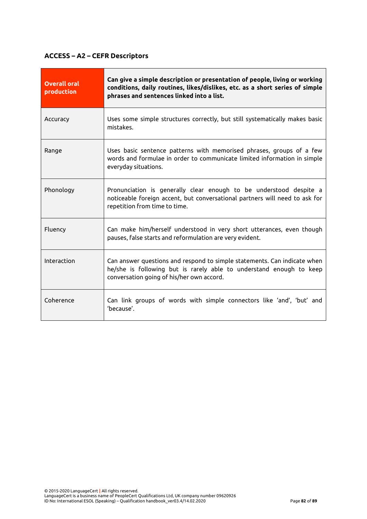# **ACCESS – A2 – CEFR Descriptors**

| <b>Overall oral</b><br>production | Can give a simple description or presentation of people, living or working<br>conditions, daily routines, likes/dislikes, etc. as a short series of simple<br>phrases and sentences linked into a list. |
|-----------------------------------|---------------------------------------------------------------------------------------------------------------------------------------------------------------------------------------------------------|
| Accuracy                          | Uses some simple structures correctly, but still systematically makes basic<br>mistakes.                                                                                                                |
| Range                             | Uses basic sentence patterns with memorised phrases, groups of a few<br>words and formulae in order to communicate limited information in simple<br>everyday situations.                                |
| Phonology                         | Pronunciation is generally clear enough to be understood despite a<br>noticeable foreign accent, but conversational partners will need to ask for<br>repetition from time to time.                      |
| Fluency                           | Can make him/herself understood in very short utterances, even though<br>pauses, false starts and reformulation are very evident.                                                                       |
| Interaction                       | Can answer questions and respond to simple statements. Can indicate when<br>he/she is following but is rarely able to understand enough to keep<br>conversation going of his/her own accord.            |
| Coherence                         | Can link groups of words with simple connectors like 'and', 'but' and<br>'because'.                                                                                                                     |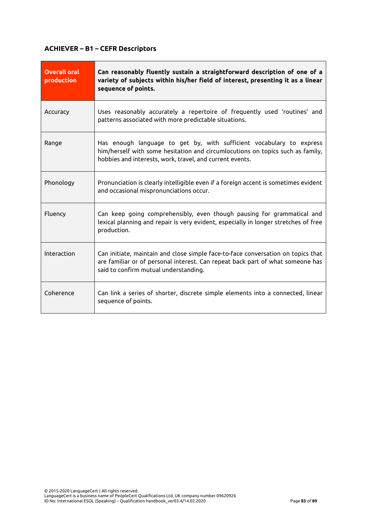# **ACHIEVER – B1 – CEFR Descriptors**

| <b>Overall oral</b><br>production | Can reasonably fluently sustain a straightforward description of one of a<br>variety of subjects within his/her field of interest, presenting it as a linear<br>sequence of points.                                |
|-----------------------------------|--------------------------------------------------------------------------------------------------------------------------------------------------------------------------------------------------------------------|
| Accuracy                          | Uses reasonably accurately a repertoire of frequently used 'routines' and<br>patterns associated with more predictable situations.                                                                                 |
| Range                             | Has enough language to get by, with sufficient vocabulary to express<br>him/herself with some hesitation and circumlocutions on topics such as family,<br>hobbies and interests, work, travel, and current events. |
| Phonology                         | Pronunciation is clearly intelligible even if a foreign accent is sometimes evident<br>and occasional mispronunciations occur.                                                                                     |
| Fluency                           | Can keep going comprehensibly, even though pausing for grammatical and<br>lexical planning and repair is very evident, especially in longer stretches of free<br>production.                                       |
| Interaction                       | Can initiate, maintain and close simple face-to-face conversation on topics that<br>are familiar or of personal interest. Can repeat back part of what someone has<br>said to confirm mutual understanding.        |
| Coherence                         | Can link a series of shorter, discrete simple elements into a connected, linear<br>sequence of points.                                                                                                             |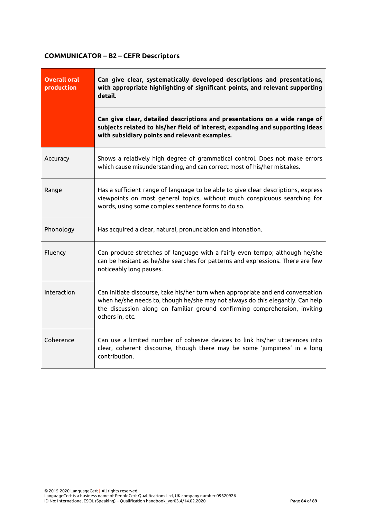# **COMMUNICATOR – B2 – CEFR Descriptors**

| <b>Overall oral</b><br>production | Can give clear, systematically developed descriptions and presentations,<br>with appropriate highlighting of significant points, and relevant supporting<br>detail.                                                                                                |  |
|-----------------------------------|--------------------------------------------------------------------------------------------------------------------------------------------------------------------------------------------------------------------------------------------------------------------|--|
|                                   | Can give clear, detailed descriptions and presentations on a wide range of<br>subjects related to his/her field of interest, expanding and supporting ideas<br>with subsidiary points and relevant examples.                                                       |  |
| Accuracy                          | Shows a relatively high degree of grammatical control. Does not make errors<br>which cause misunderstanding, and can correct most of his/her mistakes.                                                                                                             |  |
| Range                             | Has a sufficient range of language to be able to give clear descriptions, express<br>viewpoints on most general topics, without much conspicuous searching for<br>words, using some complex sentence forms to do so.                                               |  |
| Phonology                         | Has acquired a clear, natural, pronunciation and intonation.                                                                                                                                                                                                       |  |
| Fluency                           | Can produce stretches of language with a fairly even tempo; although he/she<br>can be hesitant as he/she searches for patterns and expressions. There are few<br>noticeably long pauses.                                                                           |  |
| Interaction                       | Can initiate discourse, take his/her turn when appropriate and end conversation<br>when he/she needs to, though he/she may not always do this elegantly. Can help<br>the discussion along on familiar ground confirming comprehension, inviting<br>others in, etc. |  |
| Coherence                         | Can use a limited number of cohesive devices to link his/her utterances into<br>clear, coherent discourse, though there may be some 'jumpiness' in a long<br>contribution.                                                                                         |  |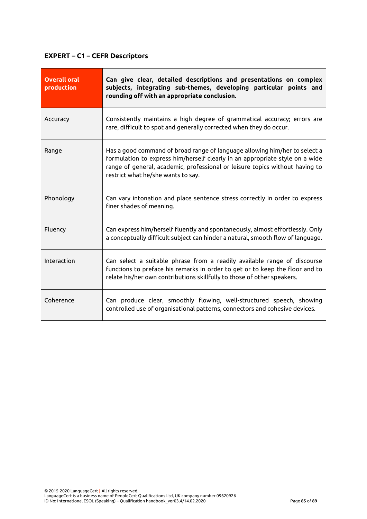# **EXPERT – C1 – CEFR Descriptors**

| <b>Overall oral</b><br>production | Can give clear, detailed descriptions and presentations on complex<br>subjects, integrating sub-themes, developing particular points and<br>rounding off with an appropriate conclusion.                                                                                         |
|-----------------------------------|----------------------------------------------------------------------------------------------------------------------------------------------------------------------------------------------------------------------------------------------------------------------------------|
| Accuracy                          | Consistently maintains a high degree of grammatical accuracy; errors are<br>rare, difficult to spot and generally corrected when they do occur.                                                                                                                                  |
| Range                             | Has a good command of broad range of language allowing him/her to select a<br>formulation to express him/herself clearly in an appropriate style on a wide<br>range of general, academic, professional or leisure topics without having to<br>restrict what he/she wants to say. |
| Phonology                         | Can vary intonation and place sentence stress correctly in order to express<br>finer shades of meaning.                                                                                                                                                                          |
| Fluency                           | Can express him/herself fluently and spontaneously, almost effortlessly. Only<br>a conceptually difficult subject can hinder a natural, smooth flow of language.                                                                                                                 |
| Interaction                       | Can select a suitable phrase from a readily available range of discourse<br>functions to preface his remarks in order to get or to keep the floor and to<br>relate his/her own contributions skillfully to those of other speakers.                                              |
| Coherence                         | Can produce clear, smoothly flowing, well-structured speech, showing<br>controlled use of organisational patterns, connectors and cohesive devices.                                                                                                                              |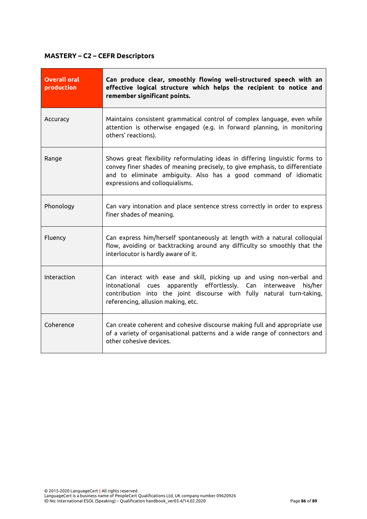# **MASTERY – C2 – CEFR Descriptors**

| <b>Overall oral</b><br>production | Can produce clear, smoothly flowing well-structured speech with an<br>effective logical structure which helps the recipient to notice and<br>remember significant points.                                                                                           |
|-----------------------------------|---------------------------------------------------------------------------------------------------------------------------------------------------------------------------------------------------------------------------------------------------------------------|
| Accuracy                          | Maintains consistent grammatical control of complex language, even while<br>attention is otherwise engaged (e.g. in forward planning, in monitoring<br>others' reactions).                                                                                          |
| Range                             | Shows great flexibility reformulating ideas in differing linguistic forms to<br>convey finer shades of meaning precisely, to give emphasis, to differentiate<br>and to eliminate ambiguity. Also has a good command of idiomatic<br>expressions and colloquialisms. |
| Phonology                         | Can vary intonation and place sentence stress correctly in order to express<br>finer shades of meaning.                                                                                                                                                             |
| Fluency                           | Can express him/herself spontaneously at length with a natural colloquial<br>flow, avoiding or backtracking around any difficulty so smoothly that the<br>interlocutor is hardly aware of it.                                                                       |
| Interaction                       | Can interact with ease and skill, picking up and using non-verbal and<br>intonational cues apparently effortlessly.<br>Can interweave<br>his/her<br>contribution into the joint discourse with fully natural turn-taking,<br>referencing, allusion making, etc.     |
| Coherence                         | Can create coherent and cohesive discourse making full and appropriate use<br>of a variety of organisational patterns and a wide range of connectors and<br>other cohesive devices.                                                                                 |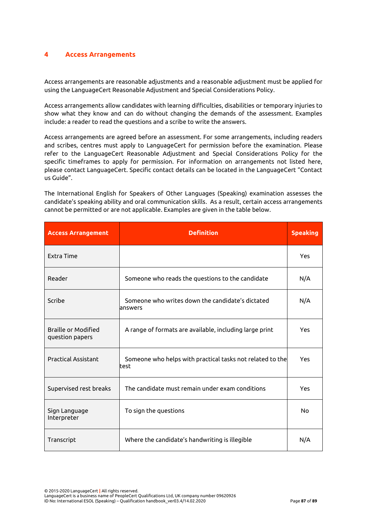## **4 Access Arrangements**

Access arrangements are reasonable adjustments and a reasonable adjustment must be applied for using the LanguageCert Reasonable Adjustment and Special Considerations Policy.

Access arrangements allow candidates with learning difficulties, disabilities or temporary injuries to show what they know and can do without changing the demands of the assessment. Examples include: a reader to read the questions and a scribe to write the answers.

Access arrangements are agreed before an assessment. For some arrangements, including readers and scribes, centres must apply to LanguageCert for permission before the examination. Please refer to the LanguageCert Reasonable Adjustment and Special Considerations Policy for the specific timeframes to apply for permission. For information on arrangements not listed here, please contact LanguageCert. Specific contact details can be located in the LanguageCert "Contact us Guide".

The International English for Speakers of Other Languages (Speaking) examination assesses the candidate's speaking ability and oral communication skills. As a result, certain access arrangements cannot be permitted or are not applicable. Examples are given in the table below.

| <b>Access Arrangement</b>                     | <b>Definition</b>                                                  | <b>Speaking</b> |
|-----------------------------------------------|--------------------------------------------------------------------|-----------------|
| Extra Time                                    |                                                                    | Yes             |
| Reader                                        | Someone who reads the questions to the candidate                   | N/A             |
| Scribe                                        | Someone who writes down the candidate's dictated<br>lanswers       | N/A             |
| <b>Braille or Modified</b><br>question papers | A range of formats are available, including large print            | Yes             |
| <b>Practical Assistant</b>                    | Someone who helps with practical tasks not related to the<br>ltest | Yes             |
| Supervised rest breaks                        | The candidate must remain under exam conditions                    | Yes             |
| Sign Language<br>Interpreter                  | To sign the questions                                              | <b>No</b>       |
| Transcript                                    | Where the candidate's handwriting is illegible                     | N/A             |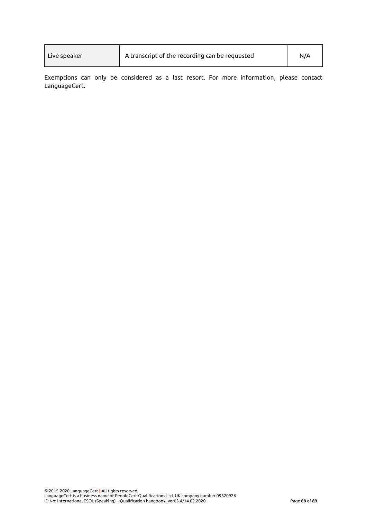| Live speaker | A transcript of the recording can be requested | N/A |
|--------------|------------------------------------------------|-----|
|              |                                                |     |

Exemptions can only be considered as a last resort. For more information, please contact LanguageCert.